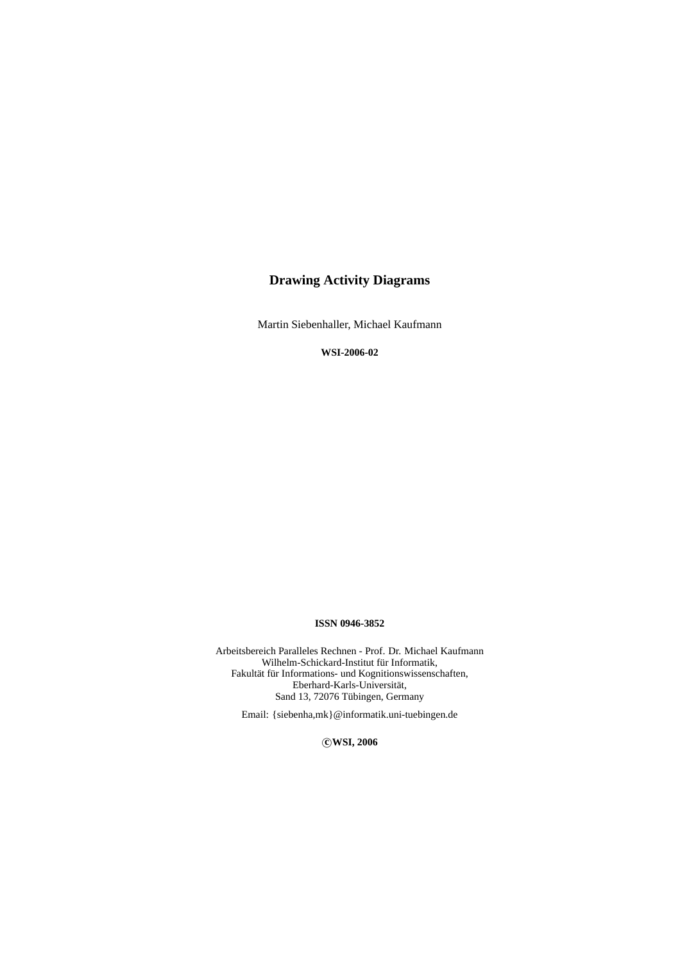# **Drawing Activity Diagrams**

Martin Siebenhaller, Michael Kaufmann

**WSI-2006-02**

## **ISSN 0946-3852**

Arbeitsbereich Paralleles Rechnen - Prof. Dr. Michael Kaufmann Wilhelm-Schickard-Institut für Informatik, Fakultät für Informations- und Kognitionswissenschaften, Eberhard-Karls-Universität, Sand 13, 72076 Tübingen, Germany

Email: {siebenha,mk}@informatik.uni-tuebingen.de

°**c WSI, 2006**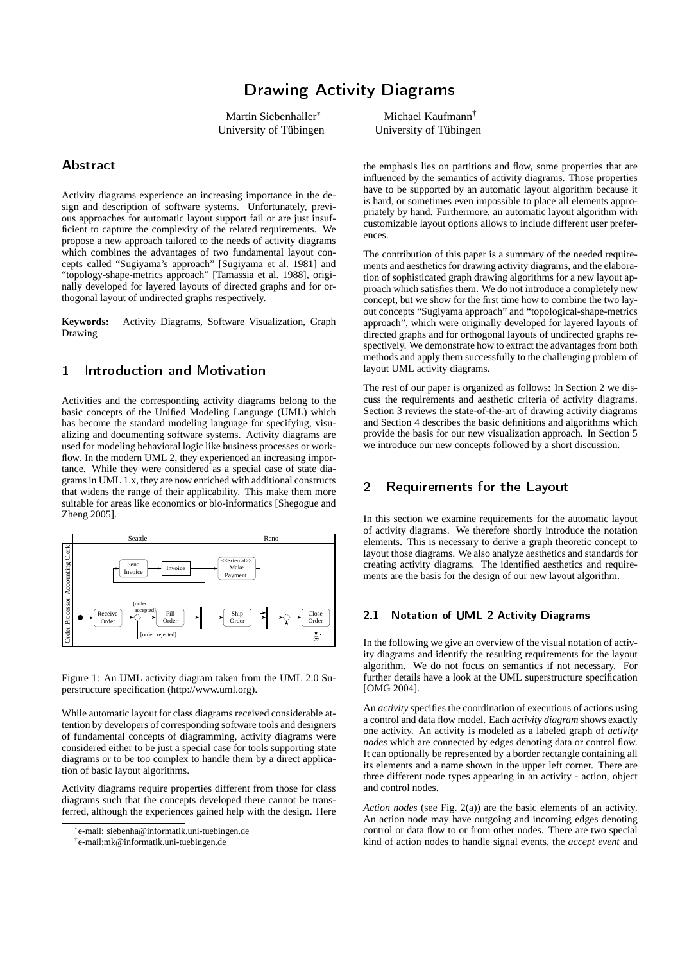# Drawing Activity Diagrams

Martin Siebenhaller<sup>∗</sup> University of Tübingen

## Abstract

Activity diagrams experience an increasing importance in the design and description of software systems. Unfortunately, previous approaches for automatic layout support fail or are just insufficient to capture the complexity of the related requirements. We propose a new approach tailored to the needs of activity diagrams which combines the advantages of two fundamental layout concepts called "Sugiyama's approach" [Sugiyama et al. 1981] and "topology-shape-metrics approach" [Tamassia et al. 1988], originally developed for layered layouts of directed graphs and for orthogonal layout of undirected graphs respectively.

**Keywords:** Activity Diagrams, Software Visualization, Graph Drawing

# 1 Introduction and Motivation

Activities and the corresponding activity diagrams belong to the basic concepts of the Unified Modeling Language (UML) which has become the standard modeling language for specifying, visualizing and documenting software systems. Activity diagrams are used for modeling behavioral logic like business processes or workflow. In the modern UML 2, they experienced an increasing importance. While they were considered as a special case of state diagrams in UML 1.x, they are now enriched with additional constructs that widens the range of their applicability. This make them more suitable for areas like economics or bio-informatics [Shegogue and Zheng 2005].



Figure 1: An UML activity diagram taken from the UML 2.0 Superstructure specification (http://www.uml.org).

While automatic layout for class diagrams received considerable attention by developers of corresponding software tools and designers of fundamental concepts of diagramming, activity diagrams were considered either to be just a special case for tools supporting state diagrams or to be too complex to handle them by a direct application of basic layout algorithms.

Activity diagrams require properties different from those for class diagrams such that the concepts developed there cannot be transferred, although the experiences gained help with the design. Here

Michael Kaufmann† University of Tübingen

the emphasis lies on partitions and flow, some properties that are influenced by the semantics of activity diagrams. Those properties have to be supported by an automatic layout algorithm because it is hard, or sometimes even impossible to place all elements appropriately by hand. Furthermore, an automatic layout algorithm with customizable layout options allows to include different user preferences.

The contribution of this paper is a summary of the needed requirements and aesthetics for drawing activity diagrams, and the elaboration of sophisticated graph drawing algorithms for a new layout approach which satisfies them. We do not introduce a completely new concept, but we show for the first time how to combine the two layout concepts "Sugiyama approach" and "topological-shape-metrics approach", which were originally developed for layered layouts of directed graphs and for orthogonal layouts of undirected graphs respectively. We demonstrate how to extract the advantages from both methods and apply them successfully to the challenging problem of layout UML activity diagrams.

The rest of our paper is organized as follows: In Section 2 we discuss the requirements and aesthetic criteria of activity diagrams. Section 3 reviews the state-of-the-art of drawing activity diagrams and Section 4 describes the basic definitions and algorithms which provide the basis for our new visualization approach. In Section 5 we introduce our new concepts followed by a short discussion.

## 2 Requirements for the Layout

In this section we examine requirements for the automatic layout of activity diagrams. We therefore shortly introduce the notation elements. This is necessary to derive a graph theoretic concept to layout those diagrams. We also analyze aesthetics and standards for creating activity diagrams. The identified aesthetics and requirements are the basis for the design of our new layout algorithm.

## 2.1 Notation of UML 2 Activity Diagrams

In the following we give an overview of the visual notation of activity diagrams and identify the resulting requirements for the layout algorithm. We do not focus on semantics if not necessary. For further details have a look at the UML superstructure specification [OMG 2004].

An *activity* specifies the coordination of executions of actions using a control and data flow model. Each *activity diagram* shows exactly one activity. An activity is modeled as a labeled graph of *activity nodes* which are connected by edges denoting data or control flow. It can optionally be represented by a border rectangle containing all its elements and a name shown in the upper left corner. There are three different node types appearing in an activity - action, object and control nodes.

*Action nodes* (see Fig. 2(a)) are the basic elements of an activity. An action node may have outgoing and incoming edges denoting control or data flow to or from other nodes. There are two special kind of action nodes to handle signal events, the *accept event* and

<sup>∗</sup> e-mail: siebenha@informatik.uni-tuebingen.de

<sup>†</sup> e-mail:mk@informatik.uni-tuebingen.de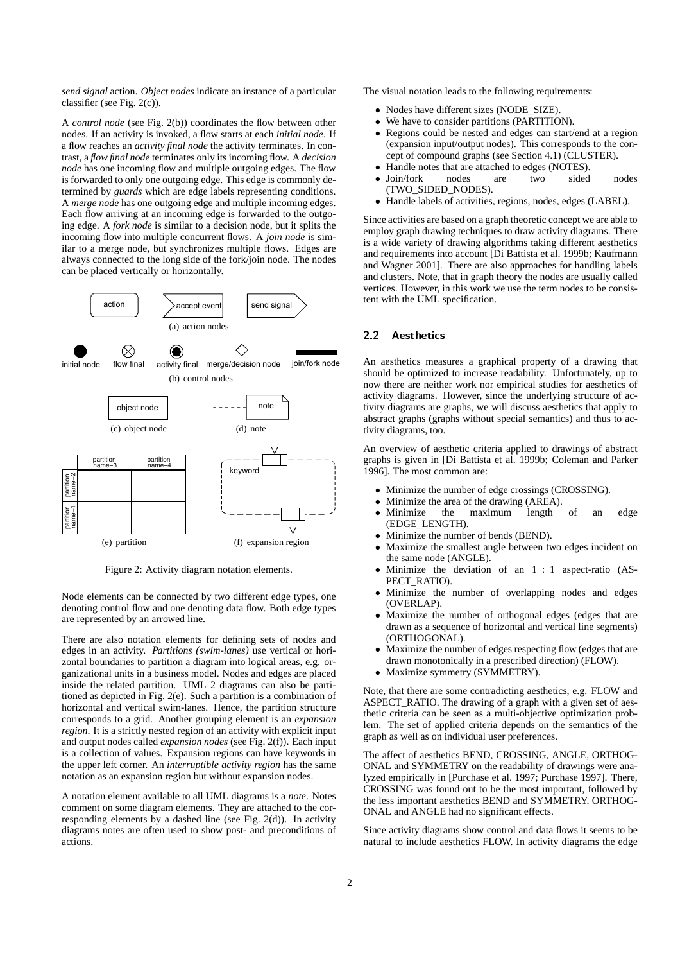*send signal* action. *Object nodes* indicate an instance of a particular classifier (see Fig. 2(c)).

A *control node* (see Fig. 2(b)) coordinates the flow between other nodes. If an activity is invoked, a flow starts at each *initial node*. If a flow reaches an *activity final node* the activity terminates. In contrast, a *flow final node* terminates only its incoming flow. A *decision node* has one incoming flow and multiple outgoing edges. The flow is forwarded to only one outgoing edge. This edge is commonly determined by *guards* which are edge labels representing conditions. A *merge node* has one outgoing edge and multiple incoming edges. Each flow arriving at an incoming edge is forwarded to the outgoing edge. A *fork node* is similar to a decision node, but it splits the incoming flow into multiple concurrent flows. A *join node* is similar to a merge node, but synchronizes multiple flows. Edges are always connected to the long side of the fork/join node. The nodes can be placed vertically or horizontally.



Figure 2: Activity diagram notation elements.

Node elements can be connected by two different edge types, one denoting control flow and one denoting data flow. Both edge types are represented by an arrowed line.

There are also notation elements for defining sets of nodes and edges in an activity. *Partitions (swim-lanes)* use vertical or horizontal boundaries to partition a diagram into logical areas, e.g. organizational units in a business model. Nodes and edges are placed inside the related partition. UML 2 diagrams can also be partitioned as depicted in Fig. 2(e). Such a partition is a combination of horizontal and vertical swim-lanes. Hence, the partition structure corresponds to a grid. Another grouping element is an *expansion region*. It is a strictly nested region of an activity with explicit input and output nodes called *expansion nodes* (see Fig. 2(f)). Each input is a collection of values. Expansion regions can have keywords in the upper left corner. An *interruptible activity region* has the same notation as an expansion region but without expansion nodes.

A notation element available to all UML diagrams is a *note*. Notes comment on some diagram elements. They are attached to the corresponding elements by a dashed line (see Fig. 2(d)). In activity diagrams notes are often used to show post- and preconditions of actions.

The visual notation leads to the following requirements:

- Nodes have different sizes (NODE\_SIZE).
- We have to consider partitions (PARTITION).
- Regions could be nested and edges can start/end at a region (expansion input/output nodes). This corresponds to the concept of compound graphs (see Section 4.1) (CLUSTER).
- Handle notes that are attached to edges (NOTES).
- Join/fork nodes are two sided nodes (TWO\_SIDED\_NODES).
- Handle labels of activities, regions, nodes, edges (LABEL).

Since activities are based on a graph theoretic concept we are able to employ graph drawing techniques to draw activity diagrams. There is a wide variety of drawing algorithms taking different aesthetics and requirements into account [Di Battista et al. 1999b; Kaufmann and Wagner 2001]. There are also approaches for handling labels and clusters. Note, that in graph theory the nodes are usually called vertices. However, in this work we use the term nodes to be consistent with the UML specification.

### 2.2 Aesthetics

An aesthetics measures a graphical property of a drawing that should be optimized to increase readability. Unfortunately, up to now there are neither work nor empirical studies for aesthetics of activity diagrams. However, since the underlying structure of activity diagrams are graphs, we will discuss aesthetics that apply to abstract graphs (graphs without special semantics) and thus to activity diagrams, too.

An overview of aesthetic criteria applied to drawings of abstract graphs is given in [Di Battista et al. 1999b; Coleman and Parker 1996]. The most common are:

- Minimize the number of edge crossings (CROSSING).
- Minimize the area of the drawing (AREA).
- Minimize the maximum length of an edge (EDGE\_LENGTH).
- Minimize the number of bends (BEND).
- Maximize the smallest angle between two edges incident on the same node (ANGLE).
- Minimize the deviation of an 1 : 1 aspect-ratio (AS-PECT\_RATIO).
- Minimize the number of overlapping nodes and edges (OVERLAP).
- Maximize the number of orthogonal edges (edges that are drawn as a sequence of horizontal and vertical line segments) (ORTHOGONAL).
- Maximize the number of edges respecting flow (edges that are drawn monotonically in a prescribed direction) (FLOW).
- Maximize symmetry (SYMMETRY).

Note, that there are some contradicting aesthetics, e.g. FLOW and ASPECT\_RATIO. The drawing of a graph with a given set of aesthetic criteria can be seen as a multi-objective optimization problem. The set of applied criteria depends on the semantics of the graph as well as on individual user preferences.

The affect of aesthetics BEND, CROSSING, ANGLE, ORTHOG-ONAL and SYMMETRY on the readability of drawings were analyzed empirically in [Purchase et al. 1997; Purchase 1997]. There, CROSSING was found out to be the most important, followed by the less important aesthetics BEND and SYMMETRY. ORTHOG-ONAL and ANGLE had no significant effects.

Since activity diagrams show control and data flows it seems to be natural to include aesthetics FLOW. In activity diagrams the edge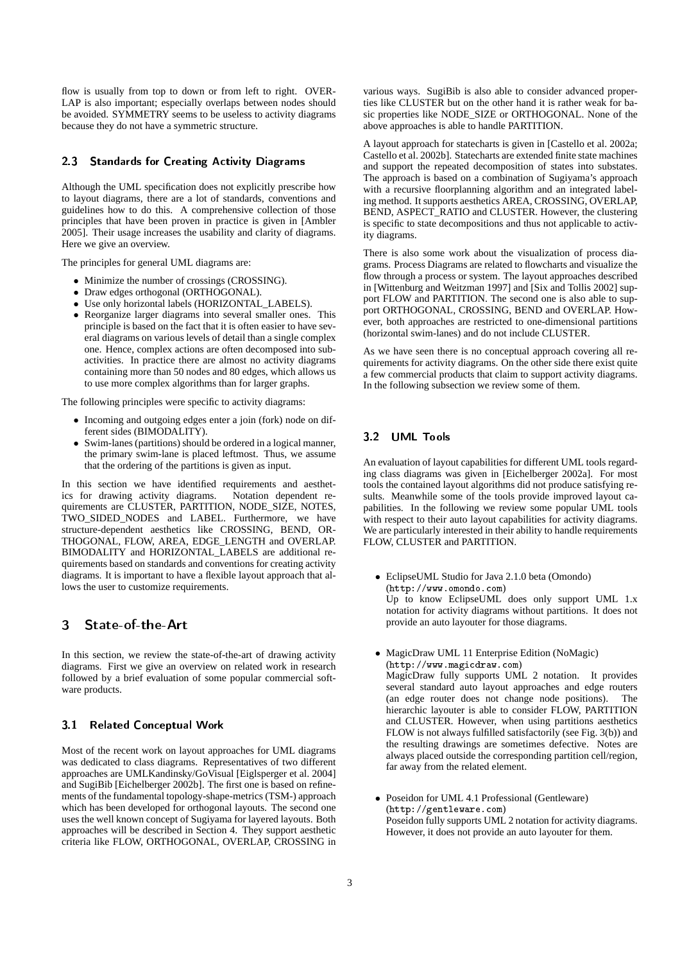flow is usually from top to down or from left to right. OVER-LAP is also important; especially overlaps between nodes should be avoided. SYMMETRY seems to be useless to activity diagrams because they do not have a symmetric structure.

### 2.3 Standards for Creating Activity Diagrams

Although the UML specification does not explicitly prescribe how to layout diagrams, there are a lot of standards, conventions and guidelines how to do this. A comprehensive collection of those principles that have been proven in practice is given in [Ambler 2005]. Their usage increases the usability and clarity of diagrams. Here we give an overview.

The principles for general UML diagrams are:

- Minimize the number of crossings (CROSSING).
- Draw edges orthogonal (ORTHOGONAL).
- Use only horizontal labels (HORIZONTAL\_LABELS).
- Reorganize larger diagrams into several smaller ones. This principle is based on the fact that it is often easier to have several diagrams on various levels of detail than a single complex one. Hence, complex actions are often decomposed into subactivities. In practice there are almost no activity diagrams containing more than 50 nodes and 80 edges, which allows us to use more complex algorithms than for larger graphs.

The following principles were specific to activity diagrams:

- Incoming and outgoing edges enter a join (fork) node on different sides (BIMODALITY).
- Swim-lanes (partitions) should be ordered in a logical manner, the primary swim-lane is placed leftmost. Thus, we assume that the ordering of the partitions is given as input.

In this section we have identified requirements and aesthetics for drawing activity diagrams. Notation dependent requirements are CLUSTER, PARTITION, NODE\_SIZE, NOTES, TWO\_SIDED\_NODES and LABEL. Furthermore, we have structure-dependent aesthetics like CROSSING, BEND, OR-THOGONAL, FLOW, AREA, EDGE\_LENGTH and OVERLAP. BIMODALITY and HORIZONTAL\_LABELS are additional requirements based on standards and conventions for creating activity diagrams. It is important to have a flexible layout approach that allows the user to customize requirements.

## 3 State-of-the-Art

In this section, we review the state-of-the-art of drawing activity diagrams. First we give an overview on related work in research followed by a brief evaluation of some popular commercial software products.

#### 3.1 Related Conceptual Work

Most of the recent work on layout approaches for UML diagrams was dedicated to class diagrams. Representatives of two different approaches are UMLKandinsky/GoVisual [Eiglsperger et al. 2004] and SugiBib [Eichelberger 2002b]. The first one is based on refinements of the fundamental topology-shape-metrics (TSM-) approach which has been developed for orthogonal layouts. The second one uses the well known concept of Sugiyama for layered layouts. Both approaches will be described in Section 4. They support aesthetic criteria like FLOW, ORTHOGONAL, OVERLAP, CROSSING in

various ways. SugiBib is also able to consider advanced properties like CLUSTER but on the other hand it is rather weak for basic properties like NODE\_SIZE or ORTHOGONAL. None of the above approaches is able to handle PARTITION.

A layout approach for statecharts is given in [Castello et al. 2002a; Castello et al. 2002b]. Statecharts are extended finite state machines and support the repeated decomposition of states into substates. The approach is based on a combination of Sugiyama's approach with a recursive floorplanning algorithm and an integrated labeling method. It supports aesthetics AREA, CROSSING, OVERLAP, BEND, ASPECT\_RATIO and CLUSTER. However, the clustering is specific to state decompositions and thus not applicable to activity diagrams.

There is also some work about the visualization of process diagrams. Process Diagrams are related to flowcharts and visualize the flow through a process or system. The layout approaches described in [Wittenburg and Weitzman 1997] and [Six and Tollis 2002] support FLOW and PARTITION. The second one is also able to support ORTHOGONAL, CROSSING, BEND and OVERLAP. However, both approaches are restricted to one-dimensional partitions (horizontal swim-lanes) and do not include CLUSTER.

As we have seen there is no conceptual approach covering all requirements for activity diagrams. On the other side there exist quite a few commercial products that claim to support activity diagrams. In the following subsection we review some of them.

### 3.2 UML Tools

An evaluation of layout capabilities for different UML tools regarding class diagrams was given in [Eichelberger 2002a]. For most tools the contained layout algorithms did not produce satisfying results. Meanwhile some of the tools provide improved layout capabilities. In the following we review some popular UML tools with respect to their auto layout capabilities for activity diagrams. We are particularly interested in their ability to handle requirements FLOW, CLUSTER and PARTITION.

- EclipseUML Studio for Java 2.1.0 beta (Omondo) (http://www.omondo.com) Up to know EclipseUML does only support UML 1.x notation for activity diagrams without partitions. It does not provide an auto layouter for those diagrams.
- MagicDraw UML 11 Enterprise Edition (NoMagic) (http://www.magicdraw.com) MagicDraw fully supports UML 2 notation. It provides several standard auto layout approaches and edge routers (an edge router does not change node positions). The hierarchic layouter is able to consider FLOW, PARTITION and CLUSTER. However, when using partitions aesthetics FLOW is not always fulfilled satisfactorily (see Fig. 3(b)) and the resulting drawings are sometimes defective. Notes are always placed outside the corresponding partition cell/region, far away from the related element.
- Poseidon for UML 4.1 Professional (Gentleware) (http://gentleware.com) Poseidon fully supports UML 2 notation for activity diagrams. However, it does not provide an auto layouter for them.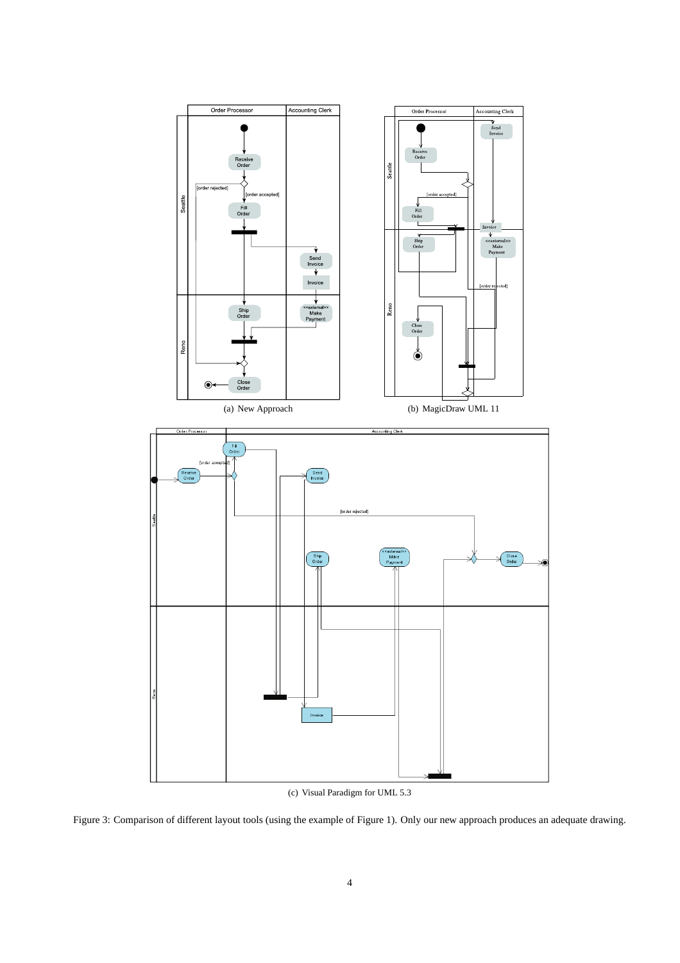

(c) Visual Paradigm for UML 5.3

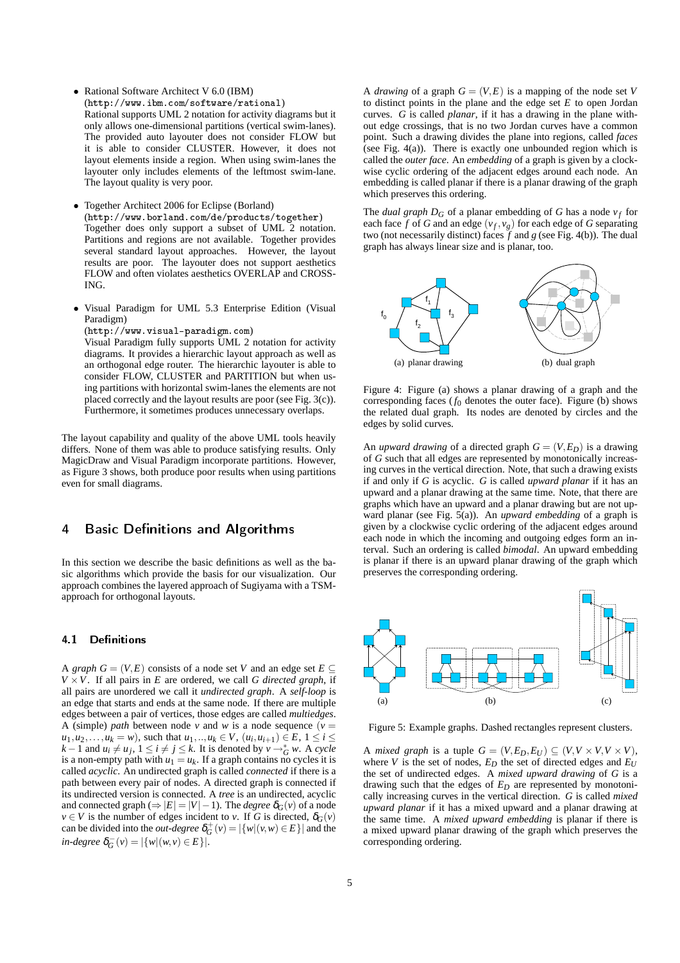• Rational Software Architect V 6.0 (IBM)

(http://www.ibm.com/software/rational) Rational supports UML 2 notation for activity diagrams but it only allows one-dimensional partitions (vertical swim-lanes). The provided auto layouter does not consider FLOW but it is able to consider CLUSTER. However, it does not layout elements inside a region. When using swim-lanes the layouter only includes elements of the leftmost swim-lane. The layout quality is very poor.

• Together Architect 2006 for Eclipse (Borland) (http://www.borland.com/de/products/together) Together does only support a subset of UML 2 notation. Partitions and regions are not available. Together provides several standard layout approaches. However, the layout results are poor. The layouter does not support aesthetics FLOW and often violates aesthetics OVERLAP and CROSS-ING.

• Visual Paradigm for UML 5.3 Enterprise Edition (Visual Paradigm)

(http://www.visual-paradigm.com)

Visual Paradigm fully supports UML 2 notation for activity diagrams. It provides a hierarchic layout approach as well as an orthogonal edge router. The hierarchic layouter is able to consider FLOW, CLUSTER and PARTITION but when using partitions with horizontal swim-lanes the elements are not placed correctly and the layout results are poor (see Fig. 3(c)). Furthermore, it sometimes produces unnecessary overlaps.

The layout capability and quality of the above UML tools heavily differs. None of them was able to produce satisfying results. Only MagicDraw and Visual Paradigm incorporate partitions. However, as Figure 3 shows, both produce poor results when using partitions even for small diagrams.

## 4 Basic Definitions and Algorithms

In this section we describe the basic definitions as well as the basic algorithms which provide the basis for our visualization. Our approach combines the layered approach of Sugiyama with a TSMapproach for orthogonal layouts.

## 4.1 Definitions

A *graph*  $G = (V, E)$  consists of a node set *V* and an edge set  $E \subseteq$  $V \times V$ . If all pairs in *E* are ordered, we call *G directed graph*, if all pairs are unordered we call it *undirected graph*. A *self-loop* is an edge that starts and ends at the same node. If there are multiple edges between a pair of vertices, those edges are called *multiedges*. A (simple) *path* between node *v* and *w* is a node sequence ( $v =$ *u*<sub>1</sub>,*u*<sub>2</sub>,...,*u*<sub>*k*</sub> = *w*), such that *u*<sub>1</sub>,..,*u*<sub>*k*</sub> ∈ *V*, (*u*<sub>*i*</sub>,*u*<sub>*i*+1</sub>) ∈ *E*, 1 ≤ *i* ≤  $k-1$  and  $u_i \neq u_j$ ,  $1 \leq i \neq j \leq k$ . It is denoted by  $v \rightarrow_G^* w$ . A *cycle* is a non-empty path with  $u_1 = u_k$ . If a graph contains no cycles it is called *acyclic*. An undirected graph is called *connected* if there is a path between every pair of nodes. A directed graph is connected if its undirected version is connected. A *tree* is an undirected, acyclic and connected graph ( $\Rightarrow$   $|E| = |V| - 1$ ). The *degree*  $\delta_G(v)$  of a node  $v \in V$  is the number of edges incident to *v*. If *G* is directed,  $\delta_G(v)$ can be divided into the *out-degree*  $\delta_G^+(v) = |\{w | (v, w) \in E\}|$  and the  $\int$ *in-degree*  $\delta_G^-(v) = |\{w | (w, v) \in E\}|$ .

A *drawing* of a graph  $G = (V, E)$  is a mapping of the node set V to distinct points in the plane and the edge set *E* to open Jordan curves. *G* is called *planar*, if it has a drawing in the plane without edge crossings, that is no two Jordan curves have a common point. Such a drawing divides the plane into regions, called *faces* (see Fig.  $4(a)$ ). There is exactly one unbounded region which is called the *outer face*. An *embedding* of a graph is given by a clockwise cyclic ordering of the adjacent edges around each node. An embedding is called planar if there is a planar drawing of the graph which preserves this ordering.

The *dual graph*  $D_G$  of a planar embedding of G has a node  $v_f$  for each face  $f$  of  $G$  and an edge  $(v_f, v_g)$  for each edge of  $G$  separating two (not necessarily distinct) faces *f* and *g* (see Fig. 4(b)). The dual graph has always linear size and is planar, too.



Figure 4: Figure (a) shows a planar drawing of a graph and the corresponding faces  $(f_0)$  denotes the outer face). Figure (b) shows the related dual graph. Its nodes are denoted by circles and the edges by solid curves.

An *upward drawing* of a directed graph  $G = (V, E_D)$  is a drawing of *G* such that all edges are represented by monotonically increasing curves in the vertical direction. Note, that such a drawing exists if and only if *G* is acyclic. *G* is called *upward planar* if it has an upward and a planar drawing at the same time. Note, that there are graphs which have an upward and a planar drawing but are not upward planar (see Fig. 5(a)). An *upward embedding* of a graph is given by a clockwise cyclic ordering of the adjacent edges around each node in which the incoming and outgoing edges form an interval. Such an ordering is called *bimodal*. An upward embedding is planar if there is an upward planar drawing of the graph which preserves the corresponding ordering.



Figure 5: Example graphs. Dashed rectangles represent clusters.

A *mixed graph* is a tuple  $G = (V, E_D, E_U) \subseteq (V, V \times V, V \times V)$ , where *V* is the set of nodes,  $E_D$  the set of directed edges and  $E_U$ the set of undirected edges. A *mixed upward drawing* of *G* is a drawing such that the edges of *E<sup>D</sup>* are represented by monotonically increasing curves in the vertical direction. *G* is called *mixed upward planar* if it has a mixed upward and a planar drawing at the same time. A *mixed upward embedding* is planar if there is a mixed upward planar drawing of the graph which preserves the corresponding ordering.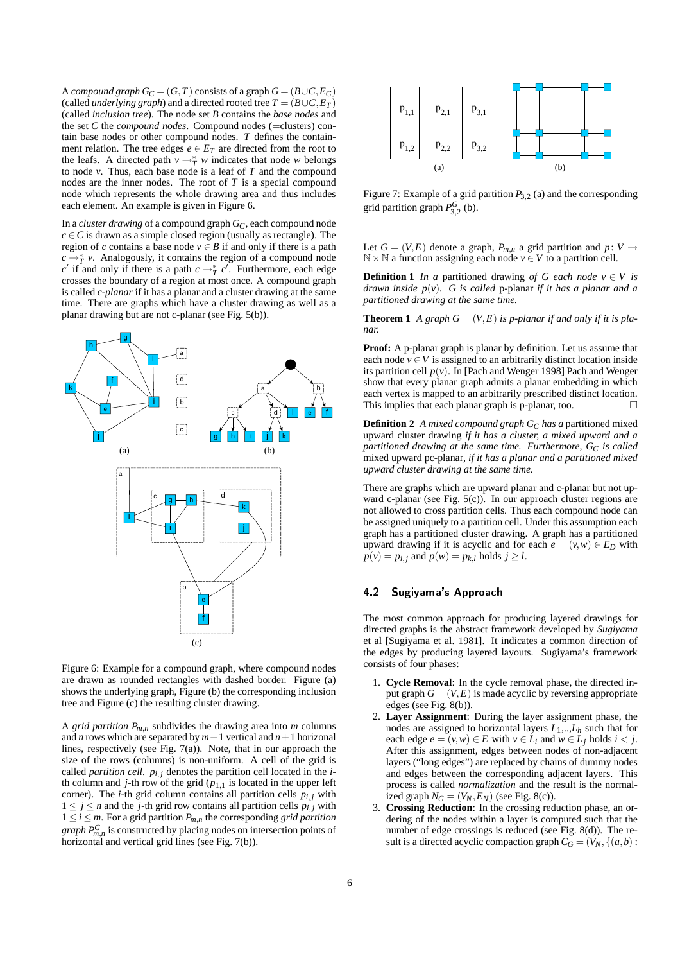A *compound graph*  $G_C = (G, T)$  consists of a graph  $G = (B \cup C, E_G)$ (called *underlying graph*) and a directed rooted tree  $T = (B \cup C, E_T)$ (called *inclusion tree*). The node set *B* contains the *base nodes* and the set *C* the *compound nodes*. Compound nodes (=clusters) contain base nodes or other compound nodes. *T* defines the containment relation. The tree edges  $e \in E_T$  are directed from the root to the leafs. A directed path  $v \rightarrow^*_{T} w$  indicates that node *w* belongs to node *v*. Thus, each base node is a leaf of *T* and the compound nodes are the inner nodes. The root of *T* is a special compound node which represents the whole drawing area and thus includes each element. An example is given in Figure 6.

In a *cluster drawing* of a compound graph *GC*, each compound node  $c \in C$  is drawn as a simple closed region (usually as rectangle). The region of *c* contains a base node  $v \in B$  if and only if there is a path  $c \rightarrow_T^* v$ . Analogously, it contains the region of a compound node  $c'$  if and only if there is a path  $c \rightarrow_T^* c'$ . Furthermore, each edge crosses the boundary of a region at most once. A compound graph is called *c-planar* if it has a planar and a cluster drawing at the same time. There are graphs which have a cluster drawing as well as a planar drawing but are not c-planar (see Fig. 5(b)).



Figure 6: Example for a compound graph, where compound nodes are drawn as rounded rectangles with dashed border. Figure (a) shows the underlying graph, Figure (b) the corresponding inclusion tree and Figure (c) the resulting cluster drawing.

A *grid partition*  $P_{m,n}$  subdivides the drawing area into *m* columns and *n* rows which are separated by  $m+1$  vertical and  $n+1$  horizonal lines, respectively (see Fig. 7(a)). Note, that in our approach the size of the rows (columns) is non-uniform. A cell of the grid is called *partition cell.*  $p_{i,j}$  denotes the partition cell located in the *i*th column and *j*-th row of the grid ( $p_{1,1}$  is located in the upper left corner). The *i*-th grid column contains all partition cells  $p_{i,j}$  with  $1 \leq j \leq n$  and the *j*-th grid row contains all partition cells  $p_{i,j}$  with  $1 \le i \le m$ . For a grid partition  $P_{m,n}$  the corresponding *grid partition graph*  $P_{m,n}^G$  is constructed by placing nodes on intersection points of horizontal and vertical grid lines (see Fig. 7(b)).



Figure 7: Example of a grid partition *P*3,<sup>2</sup> (a) and the corresponding grid partition graph  $P_{3,2}^G$  (b).

Let  $G = (V, E)$  denote a graph,  $P_{m,n}$  a grid partition and  $p: V \rightarrow$  $\mathbb{N} \times \mathbb{N}$  a function assigning each node  $v \in V$  to a partition cell.

**Definition 1** *In a* partitioned drawing *of G each node*  $v \in V$  *is drawn inside*  $p(v)$ . *G is called* p-planar *if it has a planar and a partitioned drawing at the same time.*

**Theorem 1** *A graph*  $G = (V, E)$  *is p-planar if and only if it is planar.*

**Proof:** A p-planar graph is planar by definition. Let us assume that each node  $v \in V$  is assigned to an arbitrarily distinct location inside its partition cell  $p(v)$ . In [Pach and Wenger 1998] Pach and Wenger show that every planar graph admits a planar embedding in which each vertex is mapped to an arbitrarily prescribed distinct location. This implies that each planar graph is p-planar, too.  $\Box$ 

**Definition 2** *A mixed compound graph G<sup>C</sup> has a* partitioned mixed upward cluster drawing *if it has a cluster, a mixed upward and a partitioned drawing at the same time. Furthermore,*  $G_C$  *is called* mixed upward pc-planar*, if it has a planar and a partitioned mixed upward cluster drawing at the same time.*

There are graphs which are upward planar and c-planar but not upward c-planar (see Fig. 5(c)). In our approach cluster regions are not allowed to cross partition cells. Thus each compound node can be assigned uniquely to a partition cell. Under this assumption each graph has a partitioned cluster drawing. A graph has a partitioned upward drawing if it is acyclic and for each  $e = (v, w) \in E_D$  with  $p(v) = p_{i,j}$  and  $p(w) = p_{k,l}$  holds  $j \geq l$ .

### 4.2 Sugiyama's Approach

The most common approach for producing layered drawings for directed graphs is the abstract framework developed by *Sugiyama* et al [Sugiyama et al. 1981]. It indicates a common direction of the edges by producing layered layouts. Sugiyama's framework consists of four phases:

- 1. **Cycle Removal**: In the cycle removal phase, the directed input graph  $G = (V, E)$  is made acyclic by reversing appropriate edges (see Fig. 8(b)).
- 2. **Layer Assignment**: During the layer assignment phase, the nodes are assigned to horizontal layers  $L_1, \ldots, L_h$  such that for each edge  $e = (v, w) \in E$  with  $v \in L_i$  and  $w \in L_j$  holds  $i < j$ . After this assignment, edges between nodes of non-adjacent layers ("long edges") are replaced by chains of dummy nodes and edges between the corresponding adjacent layers. This process is called *normalization* and the result is the normalized graph  $N_G = (V_N, E_N)$  (see Fig. 8(c)).
- 3. **Crossing Reduction**: In the crossing reduction phase, an ordering of the nodes within a layer is computed such that the number of edge crossings is reduced (see Fig. 8(d)). The result is a directed acyclic compaction graph  $C_G = (V_N, \{(a, b) :$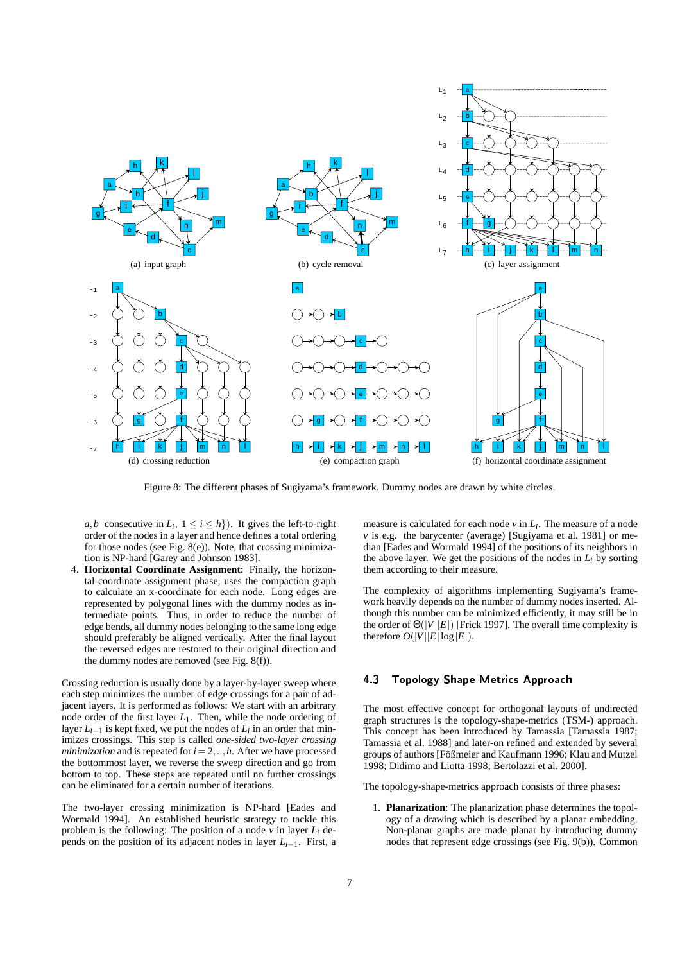

Figure 8: The different phases of Sugiyama's framework. Dummy nodes are drawn by white circles.

*a*,*b* consecutive in  $L_i$ ,  $1 \le i \le h$ }). It gives the left-to-right order of the nodes in a layer and hence defines a total ordering for those nodes (see Fig. 8(e)). Note, that crossing minimization is NP-hard [Garey and Johnson 1983].

4. **Horizontal Coordinate Assignment**: Finally, the horizontal coordinate assignment phase, uses the compaction graph to calculate an x-coordinate for each node. Long edges are represented by polygonal lines with the dummy nodes as intermediate points. Thus, in order to reduce the number of edge bends, all dummy nodes belonging to the same long edge should preferably be aligned vertically. After the final layout the reversed edges are restored to their original direction and the dummy nodes are removed (see Fig. 8(f)).

Crossing reduction is usually done by a layer-by-layer sweep where each step minimizes the number of edge crossings for a pair of adjacent layers. It is performed as follows: We start with an arbitrary node order of the first layer  $L_1$ . Then, while the node ordering of layer  $L_{i-1}$  is kept fixed, we put the nodes of  $L_i$  in an order that minimizes crossings. This step is called *one-sided two-layer crossing minimization* and is repeated for  $i = 2, \ldots, h$ . After we have processed the bottommost layer, we reverse the sweep direction and go from bottom to top. These steps are repeated until no further crossings can be eliminated for a certain number of iterations.

The two-layer crossing minimization is NP-hard [Eades and Wormald 1994]. An established heuristic strategy to tackle this problem is the following: The position of a node  $\nu$  in layer  $L_i$  depends on the position of its adjacent nodes in layer  $L_{i-1}$ . First, a

measure is calculated for each node *v* in *L<sup>i</sup>* . The measure of a node  $\nu$  is e.g. the barycenter (average) [Sugiyama et al. 1981] or median [Eades and Wormald 1994] of the positions of its neighbors in the above layer. We get the positions of the nodes in  $L_i$  by sorting them according to their measure.

The complexity of algorithms implementing Sugiyama's framework heavily depends on the number of dummy nodes inserted. Although this number can be minimized efficiently, it may still be in the order of  $\Theta(|V||E|)$  [Frick 1997]. The overall time complexity is therefore  $O(|V||E|\log|E|)$ .

#### 4.3 Topology-Shape-Metrics Approach

The most effective concept for orthogonal layouts of undirected graph structures is the topology-shape-metrics (TSM-) approach. This concept has been introduced by Tamassia [Tamassia 1987; Tamassia et al. 1988] and later-on refined and extended by several groups of authors [Fößmeier and Kaufmann 1996; Klau and Mutzel 1998; Didimo and Liotta 1998; Bertolazzi et al. 2000].

The topology-shape-metrics approach consists of three phases:

1. **Planarization**: The planarization phase determines the topology of a drawing which is described by a planar embedding. Non-planar graphs are made planar by introducing dummy nodes that represent edge crossings (see Fig. 9(b)). Common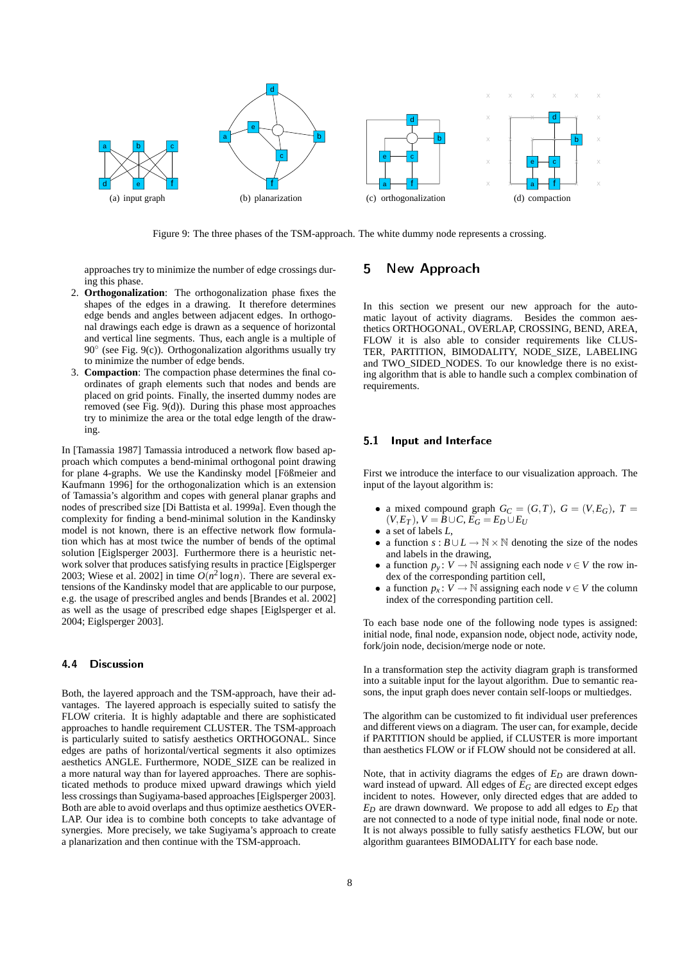

Figure 9: The three phases of the TSM-approach. The white dummy node represents a crossing.

approaches try to minimize the number of edge crossings during this phase.

- 2. **Orthogonalization**: The orthogonalization phase fixes the shapes of the edges in a drawing. It therefore determines edge bends and angles between adjacent edges. In orthogonal drawings each edge is drawn as a sequence of horizontal and vertical line segments. Thus, each angle is a multiple of 90° (see Fig. 9(c)). Orthogonalization algorithms usually try to minimize the number of edge bends.
- 3. **Compaction**: The compaction phase determines the final coordinates of graph elements such that nodes and bends are placed on grid points. Finally, the inserted dummy nodes are removed (see Fig. 9(d)). During this phase most approaches try to minimize the area or the total edge length of the drawing.

In [Tamassia 1987] Tamassia introduced a network flow based approach which computes a bend-minimal orthogonal point drawing for plane 4-graphs. We use the Kandinsky model [Fößmeier and Kaufmann 1996] for the orthogonalization which is an extension of Tamassia's algorithm and copes with general planar graphs and nodes of prescribed size [Di Battista et al. 1999a]. Even though the complexity for finding a bend-minimal solution in the Kandinsky model is not known, there is an effective network flow formulation which has at most twice the number of bends of the optimal solution [Eiglsperger 2003]. Furthermore there is a heuristic network solver that produces satisfying results in practice [Eiglsperger 2003; Wiese et al. 2002] in time  $O(n^2 \log n)$ . There are several extensions of the Kandinsky model that are applicable to our purpose, e.g. the usage of prescribed angles and bends [Brandes et al. 2002] as well as the usage of prescribed edge shapes [Eiglsperger et al. 2004; Eiglsperger 2003].

## 4.4 Discussion

Both, the layered approach and the TSM-approach, have their advantages. The layered approach is especially suited to satisfy the FLOW criteria. It is highly adaptable and there are sophisticated approaches to handle requirement CLUSTER. The TSM-approach is particularly suited to satisfy aesthetics ORTHOGONAL. Since edges are paths of horizontal/vertical segments it also optimizes aesthetics ANGLE. Furthermore, NODE\_SIZE can be realized in a more natural way than for layered approaches. There are sophisticated methods to produce mixed upward drawings which yield less crossings than Sugiyama-based approaches [Eiglsperger 2003]. Both are able to avoid overlaps and thus optimize aesthetics OVER-LAP. Our idea is to combine both concepts to take advantage of synergies. More precisely, we take Sugiyama's approach to create a planarization and then continue with the TSM-approach.

## 5 New Approach

In this section we present our new approach for the automatic layout of activity diagrams. Besides the common aesthetics ORTHOGONAL, OVERLAP, CROSSING, BEND, AREA, FLOW it is also able to consider requirements like CLUS-TER, PARTITION, BIMODALITY, NODE\_SIZE, LABELING and TWO\_SIDED\_NODES. To our knowledge there is no existing algorithm that is able to handle such a complex combination of requirements.

#### 5.1 Input and Interface

First we introduce the interface to our visualization approach. The input of the layout algorithm is:

- a mixed compound graph  $G_C = (G, T)$ ,  $G = (V, E_G)$ ,  $T =$  $(V, E_T)$ ,  $V = B \cup C$ ,  $E_G = E_D \cup E_U$
- a set of labels *L*,
- a function  $s : B \cup L \to \mathbb{N} \times \mathbb{N}$  denoting the size of the nodes and labels in the drawing,
- a function  $p_v : V \to \mathbb{N}$  assigning each node  $v \in V$  the row index of the corresponding partition cell,
- a function  $p_x: V \to \mathbb{N}$  assigning each node  $v \in V$  the column index of the corresponding partition cell.

To each base node one of the following node types is assigned: initial node, final node, expansion node, object node, activity node, fork/join node, decision/merge node or note.

In a transformation step the activity diagram graph is transformed into a suitable input for the layout algorithm. Due to semantic reasons, the input graph does never contain self-loops or multiedges.

The algorithm can be customized to fit individual user preferences and different views on a diagram. The user can, for example, decide if PARTITION should be applied, if CLUSTER is more important than aesthetics FLOW or if FLOW should not be considered at all.

Note, that in activity diagrams the edges of  $E_D$  are drawn downward instead of upward. All edges of  $E_G$  are directed except edges incident to notes. However, only directed edges that are added to *E<sup>D</sup>* are drawn downward. We propose to add all edges to *E<sup>D</sup>* that are not connected to a node of type initial node, final node or note. It is not always possible to fully satisfy aesthetics FLOW, but our algorithm guarantees BIMODALITY for each base node.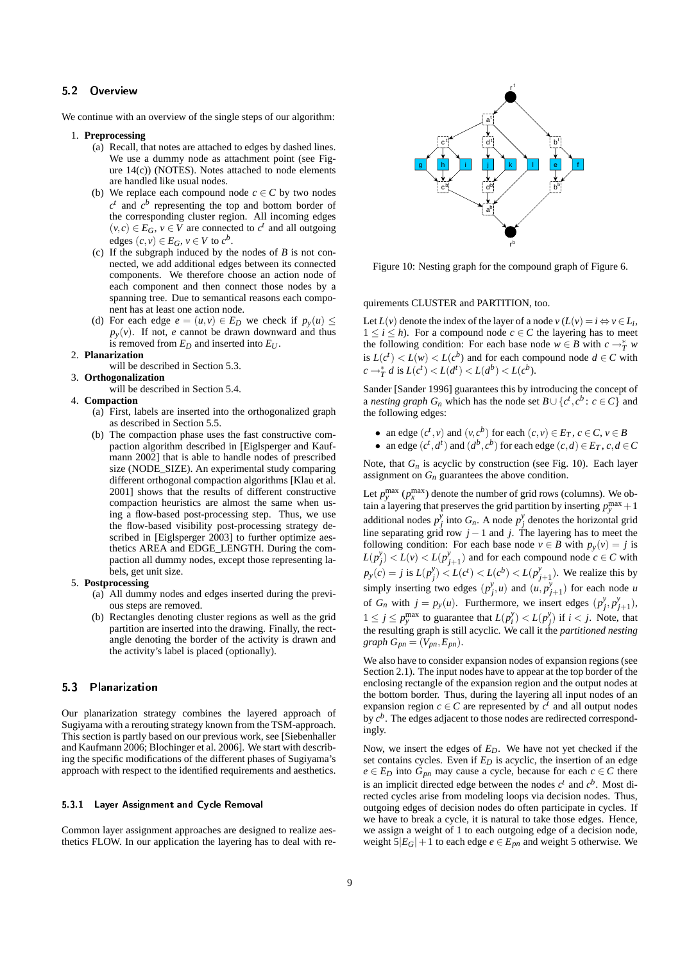#### 5.2 Overview

We continue with an overview of the single steps of our algorithm:

#### 1. **Preprocessing**

- (a) Recall, that notes are attached to edges by dashed lines. We use a dummy node as attachment point (see Figure 14(c)) (NOTES). Notes attached to node elements are handled like usual nodes.
- (b) We replace each compound node  $c \in C$  by two nodes  $c<sup>t</sup>$  and  $c<sup>b</sup>$  representing the top and bottom border of the corresponding cluster region. All incoming edges  $(v, c)$  ∈  $E_G$ ,  $v$  ∈  $\overline{V}$  are connected to  $c^t$  and all outgoing edges  $(c, v) \in E_G$ ,  $v \in V$  to  $c^b$ .
- (c) If the subgraph induced by the nodes of *B* is not connected, we add additional edges between its connected components. We therefore choose an action node of each component and then connect those nodes by a spanning tree. Due to semantical reasons each component has at least one action node.
- (d) For each edge  $e = (u, v) \in E_D$  we check if  $p_v(u) \leq$  $p_y(y)$ . If not, *e* cannot be drawn downward and thus is removed from  $E_D$  and inserted into  $E_U$ .
- 2. **Planarization**
- will be described in Section 5.3.
- 3. **Orthogonalization**
	- will be described in Section 5.4.
- 4. **Compaction**
	- (a) First, labels are inserted into the orthogonalized graph as described in Section 5.5.
	- (b) The compaction phase uses the fast constructive compaction algorithm described in [Eiglsperger and Kaufmann 2002] that is able to handle nodes of prescribed size (NODE\_SIZE). An experimental study comparing different orthogonal compaction algorithms [Klau et al. 2001] shows that the results of different constructive compaction heuristics are almost the same when using a flow-based post-processing step. Thus, we use the flow-based visibility post-processing strategy described in [Eiglsperger 2003] to further optimize aesthetics AREA and EDGE\_LENGTH. During the compaction all dummy nodes, except those representing labels, get unit size.

#### 5. **Postprocessing**

- (a) All dummy nodes and edges inserted during the previous steps are removed.
- (b) Rectangles denoting cluster regions as well as the grid partition are inserted into the drawing. Finally, the rectangle denoting the border of the activity is drawn and the activity's label is placed (optionally).

#### 5.3 Planarization

Our planarization strategy combines the layered approach of Sugiyama with a rerouting strategy known from the TSM-approach. This section is partly based on our previous work, see [Siebenhaller and Kaufmann 2006; Blochinger et al. 2006]. We start with describing the specific modifications of the different phases of Sugiyama's approach with respect to the identified requirements and aesthetics.

#### 5.3.1 Layer Assignment and Cycle Removal

Common layer assignment approaches are designed to realize aesthetics FLOW. In our application the layering has to deal with re-



Figure 10: Nesting graph for the compound graph of Figure 6.

quirements CLUSTER and PARTITION, too.

Let  $L(v)$  denote the index of the layer of a node  $v(L(v) = i \Leftrightarrow v \in L_i$ ,  $1 \leq i \leq h$ ). For a compound node  $c \in C$  the layering has to meet the following condition: For each base node  $w \in B$  with  $c \to^* T$  *w* is  $L(c^t) < L(w) < L(c^b)$  and for each compound node  $d \in C$  with  $c \rightarrow_T^* d$  is  $L(c^t) < L(d^t) < L(d^b) < L(c^b)$ .

Sander [Sander 1996] guarantees this by introducing the concept of a *nesting graph*  $G_n$  which has the node set  $B \cup \{c^t, c^b : c \in C\}$  and the following edges:

- an edge  $(c^t, v)$  and  $(v, c^b)$  for each  $(c, v) \in E_T$ ,  $c \in C$ ,  $v \in B$
- an edge  $(c^t, d^t)$  and  $(d^b, c^b)$  for each edge  $(c, d) \in E_T$ ,  $c, d \in C$

Note, that  $G_n$  is acyclic by construction (see Fig. 10). Each layer assignment on  $G_n$  guarantees the above condition.

Let  $p_{y}^{\max}(p_{x}^{\max})$  denote the number of grid rows (columns). We obtain a layering that preserves the grid partition by inserting  $p_y^{\text{max}} + 1$ additional nodes  $p_j^y$  into  $G_n$ . A node  $p_j^y$  denotes the horizontal grid line separating grid row  $j - 1$  and  $j$ . The layering has to meet the following condition: For each base node  $v \in B$  with  $p_v(v) = j$  is  $L(p_j^y) < L(v) < L(p_{j+1}^y)$  and for each compound node  $c \in C$  with  $p_y(c) = j$  is  $L(p_j^y) < L(c^t) < L(c^b) < L(p_{j+1}^y)$ . We realize this by simply inserting two edges  $(p_j^y, u)$  and  $(u, p_{j+1}^y)$  for each node *u* of  $G_n$  with  $j = p_y(u)$ . Furthermore, we insert edges  $(p_j^y, p_{j+1}^y)$ ,  $1 \leq j \leq p_y^{\text{max}}$  to guarantee that  $L(p_i^y) < L(p_j^y)$  if  $i < j$ . Note, that the resulting graph is still acyclic. We call it the *partitioned nesting*  $graph G_{pn} = (V_{pn}, E_{pn}).$ 

We also have to consider expansion nodes of expansion regions (see Section 2.1). The input nodes have to appear at the top border of the enclosing rectangle of the expansion region and the output nodes at the bottom border. Thus, during the layering all input nodes of an expansion region  $c \in C$  are represented by  $c^t$  and all output nodes by *c b* . The edges adjacent to those nodes are redirected correspondingly.

Now, we insert the edges of *ED*. We have not yet checked if the set contains cycles. Even if *E<sup>D</sup>* is acyclic, the insertion of an edge  $e \in E_D$  into  $G_{pn}$  may cause a cycle, because for each  $c \in C$  there is an implicit directed edge between the nodes  $c<sup>t</sup>$  and  $c<sup>b</sup>$ . Most directed cycles arise from modeling loops via decision nodes. Thus, outgoing edges of decision nodes do often participate in cycles. If we have to break a cycle, it is natural to take those edges. Hence, we assign a weight of 1 to each outgoing edge of a decision node, weight  $5|E_G|+1$  to each edge  $e \in E_{pn}$  and weight 5 otherwise. We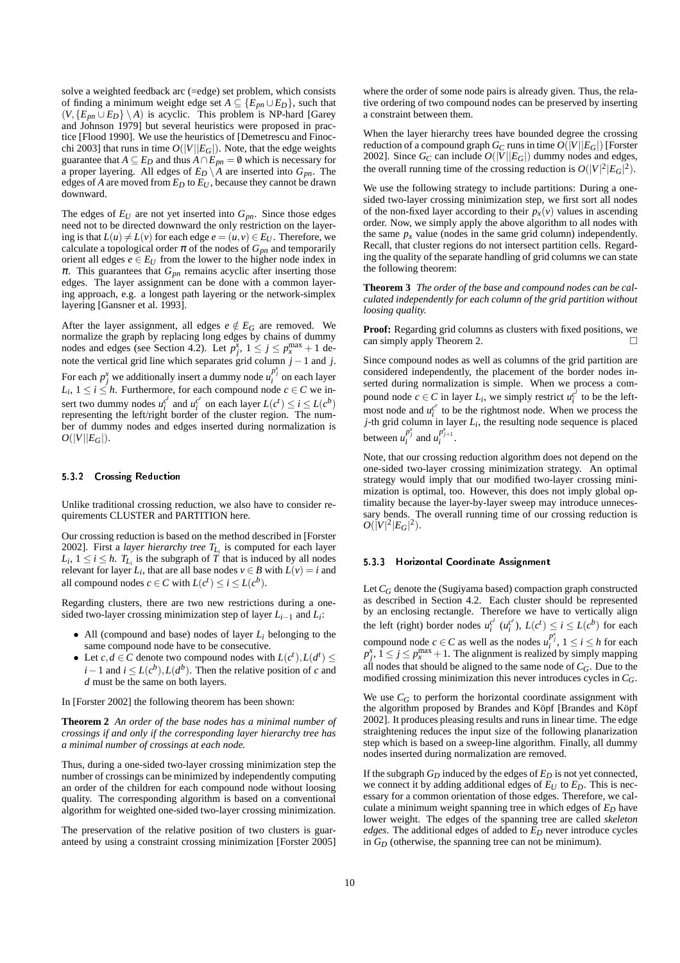solve a weighted feedback arc (=edge) set problem, which consists of finding a minimum weight edge set  $A \subseteq \{E_{pn} \cup E_D\}$ , such that  $(V, \{E_{pn} \cup E_D\} \setminus A)$  is acyclic. This problem is NP-hard [Garey and Johnson 1979] but several heuristics were proposed in practice [Flood 1990]. We use the heuristics of [Demetrescu and Finocchi 2003] that runs in time  $O(|V||E_G|)$ . Note, that the edge weights guarantee that *A*  $\subseteq$  *E<sub>D</sub>* and thus *A*  $\cap$  *E<sub>pn</sub>* = 0 which is necessary for a proper layering. All edges of  $E_D \setminus A$  are inserted into  $G_{pn}$ . The edges of *A* are moved from  $E_D$  to  $E_U$ , because they cannot be drawn downward.

The edges of  $E_U$  are not yet inserted into  $G_{pn}$ . Since those edges need not to be directed downward the only restriction on the layering is that  $L(u) \neq L(v)$  for each edge  $e = (u, v) \in E_U$ . Therefore, we calculate a topological order  $\pi$  of the nodes of  $G_{pn}$  and temporarily orient all edges  $e \in E_U$  from the lower to the higher node index in  $\pi$ . This guarantees that  $G_{pn}$  remains acyclic after inserting those edges. The layer assignment can be done with a common layering approach, e.g. a longest path layering or the network-simplex layering [Gansner et al. 1993].

After the layer assignment, all edges  $e \notin E_G$  are removed. We normalize the graph by replacing long edges by chains of dummy nodes and edges (see Section 4.2). Let  $p_j^x$ ,  $1 \le j \le p_x^{\max} + 1$  denote the vertical grid line which separates grid column *j* −1 and *j*. For each  $p_j^x$  we additionally insert a dummy node  $u_i^{p_j^x}$  on each layer  $L_i$ ,  $1 \le i \le h$ . Furthermore, for each compound node  $c \in C$  we insert two dummy nodes  $u_i^{c'}$  and  $u_i^{c'}$  on each layer  $L(c^t) \le i \le L(c^b)$ representing the left/right border of the cluster region. The number of dummy nodes and edges inserted during normalization is  $O(|V||E_G|)$ .

#### 5.3.2 Crossing Reduction

Unlike traditional crossing reduction, we also have to consider requirements CLUSTER and PARTITION here.

Our crossing reduction is based on the method described in [Forster 2002]. First a *layer hierarchy tree TL<sup>i</sup>* is computed for each layer  $L_i$ ,  $1 \leq i \leq h$ .  $T_{L_i}$  is the subgraph of *T* that is induced by all nodes relevant for layer  $L_i$ , that are all base nodes  $v \in B$  with  $L(v) = i$  and all compound nodes  $c \in C$  with  $L(c^t) \leq i \leq L(c^b)$ .

Regarding clusters, there are two new restrictions during a onesided two-layer crossing minimization step of layer *Li*−<sup>1</sup> and *L<sup>i</sup>* :

- All (compound and base) nodes of layer *L<sup>i</sup>* belonging to the same compound node have to be consecutive.
- Let  $c, d \in \mathbb{C}$  denote two compound nodes with  $L(c^t), L(d^t) \leq$ *i* − 1 and *i* ≤  $L(c^b)$ ,  $L(d^b)$ . Then the relative position of *c* and *d* must be the same on both layers.

In [Forster 2002] the following theorem has been shown:

**Theorem 2** *An order of the base nodes has a minimal number of crossings if and only if the corresponding layer hierarchy tree has a minimal number of crossings at each node.*

Thus, during a one-sided two-layer crossing minimization step the number of crossings can be minimized by independently computing an order of the children for each compound node without loosing quality. The corresponding algorithm is based on a conventional algorithm for weighted one-sided two-layer crossing minimization.

The preservation of the relative position of two clusters is guaranteed by using a constraint crossing minimization [Forster 2005] where the order of some node pairs is already given. Thus, the relative ordering of two compound nodes can be preserved by inserting a constraint between them.

When the layer hierarchy trees have bounded degree the crossing reduction of a compound graph  $G_C$  runs in time  $O(|V||E_G|)$  [Forster 2002]. Since  $G_C$  can include  $O(|V||E_G|)$  dummy nodes and edges, the overall running time of the crossing reduction is  $O(|V|^2 |E_G|^2)$ .

We use the following strategy to include partitions: During a onesided two-layer crossing minimization step, we first sort all nodes of the non-fixed layer according to their  $p<sub>x</sub>(v)$  values in ascending order. Now, we simply apply the above algorithm to all nodes with the same  $p<sub>x</sub>$  value (nodes in the same grid column) independently. Recall, that cluster regions do not intersect partition cells. Regarding the quality of the separate handling of grid columns we can state the following theorem:

**Theorem 3** *The order of the base and compound nodes can be calculated independently for each column of the grid partition without loosing quality.*

**Proof:** Regarding grid columns as clusters with fixed positions, we can simply apply Theorem 2.  $\Box$ 

Since compound nodes as well as columns of the grid partition are considered independently, the placement of the border nodes inserted during normalization is simple. When we process a compound node  $c \in C$  in layer  $L_i$ , we simply restrict  $u_i^{c^l}$  to be the leftmost node and  $u_i^{c'}$  to be the rightmost node. When we process the *j*-th grid column in layer *L<sup>i</sup>* , the resulting node sequence is placed between  $u_i^{p_j^x}$  and  $u_i^{p_{j+1}^x}$ .

Note, that our crossing reduction algorithm does not depend on the one-sided two-layer crossing minimization strategy. An optimal strategy would imply that our modified two-layer crossing minimization is optimal, too. However, this does not imply global optimality because the layer-by-layer sweep may introduce unnecessary bends. The overall running time of our crossing reduction is  $O(|V|^2 |E_G|^2)$ .

#### 5.3.3 Horizontal Coordinate Assignment

Let *C<sup>G</sup>* denote the (Sugiyama based) compaction graph constructed as described in Section 4.2. Each cluster should be represented by an enclosing rectangle. Therefore we have to vertically align the left (right) border nodes  $u_i^{c'}$  ( $u_i^{c'}$ ),  $L(c^t) \le i \le L(c^b)$  for each compound node  $c \in C$  as well as the nodes  $u_i^{p_j^x}$ ,  $1 \le i \le h$  for each  $p_j^x$ ,  $1 \le j \le p_x^{\max} + 1$ . The alignment is realized by simply mapping all nodes that should be aligned to the same node of  $C_G$ . Due to the modified crossing minimization this never introduces cycles in *CG*.

We use  $C_G$  to perform the horizontal coordinate assignment with the algorithm proposed by Brandes and Köpf [Brandes and Köpf 2002]. It produces pleasing results and runs in linear time. The edge straightening reduces the input size of the following planarization step which is based on a sweep-line algorithm. Finally, all dummy nodes inserted during normalization are removed.

If the subgraph  $G_D$  induced by the edges of  $E_D$  is not yet connected, we connect it by adding additional edges of  $E_U$  to  $E_D$ . This is necessary for a common orientation of those edges. Therefore, we calculate a minimum weight spanning tree in which edges of *E<sup>D</sup>* have lower weight. The edges of the spanning tree are called *skeleton edges*. The additional edges of added to  $E<sub>D</sub>$  never introduce cycles in *G<sup>D</sup>* (otherwise, the spanning tree can not be minimum).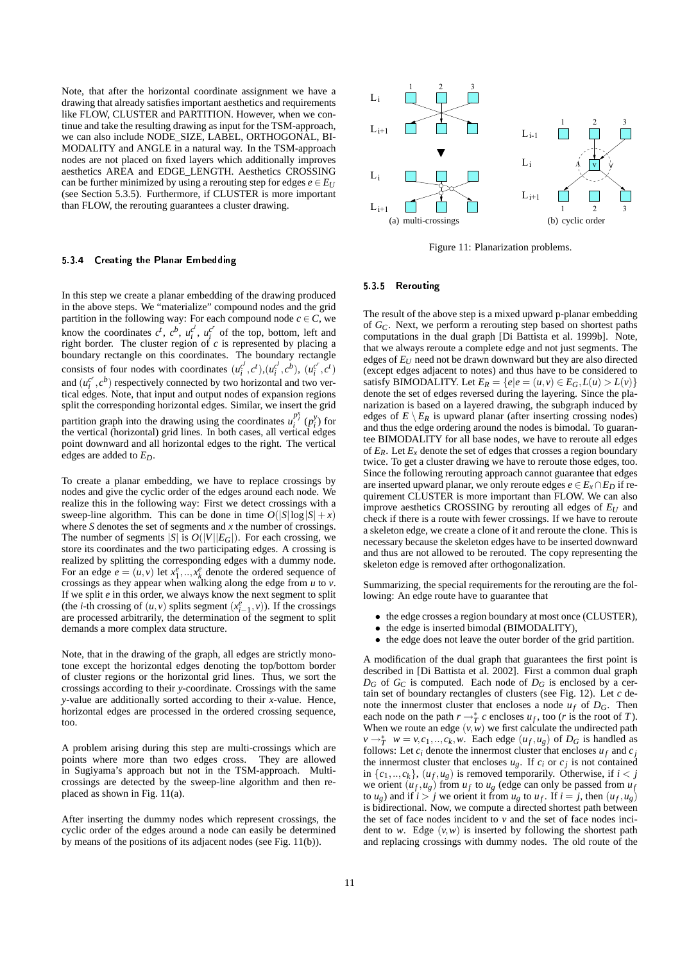Note, that after the horizontal coordinate assignment we have a drawing that already satisfies important aesthetics and requirements like FLOW, CLUSTER and PARTITION. However, when we continue and take the resulting drawing as input for the TSM-approach, we can also include NODE\_SIZE, LABEL, ORTHOGONAL, BI-MODALITY and ANGLE in a natural way. In the TSM-approach nodes are not placed on fixed layers which additionally improves aesthetics AREA and EDGE\_LENGTH. Aesthetics CROSSING can be further minimized by using a rerouting step for edges  $e \in E_U$ (see Section 5.3.5). Furthermore, if CLUSTER is more important than FLOW, the rerouting guarantees a cluster drawing.

#### 5.3.4 Creating the Planar Embedding

In this step we create a planar embedding of the drawing produced in the above steps. We "materialize" compound nodes and the grid partition in the following way: For each compound node  $c \in C$ , we know the coordinates  $c^t$ ,  $c^b$ ,  $u_i^{c'}$ ,  $u_i^{c'}$  of the top, bottom, left and right border. The cluster region of *c* is represented by placing a boundary rectangle on this coordinates. The boundary rectangle consists of four nodes with coordinates  $(u_i^{c^l}, c^t), (u_i^{c^l}, c^b), (u_i^{c^r}, c^t)$ and  $(u_i^{c'} , c^b)$  respectively connected by two horizontal and two vertical edges. Note, that input and output nodes of expansion regions split the corresponding horizontal edges. Similar, we insert the grid partition graph into the drawing using the coordinates  $u_i^{p_j^x}(p_i^y)$  for the vertical (horizontal) grid lines. In both cases, all vertical edges point downward and all horizontal edges to the right. The vertical edges are added to *ED*.

To create a planar embedding, we have to replace crossings by nodes and give the cyclic order of the edges around each node. We realize this in the following way: First we detect crossings with a sweep-line algorithm. This can be done in time  $O(|S|\log |S| + x)$ where *S* denotes the set of segments and *x* the number of crossings. The number of segments  $|S|$  is  $O(|V||E_G|)$ . For each crossing, we store its coordinates and the two participating edges. A crossing is realized by splitting the corresponding edges with a dummy node. For an edge  $e = (u, v)$  let  $x_1^e, ..., x_k^e$  denote the ordered sequence of crossings as they appear when walking along the edge from *u* to *v*. If we split *e* in this order, we always know the next segment to split (the *i*-th crossing of  $(u, v)$  splits segment  $(x_{i-1}^e, v)$ ). If the crossings are processed arbitrarily, the determination of the segment to split demands a more complex data structure.

Note, that in the drawing of the graph, all edges are strictly monotone except the horizontal edges denoting the top/bottom border of cluster regions or the horizontal grid lines. Thus, we sort the crossings according to their *y*-coordinate. Crossings with the same *y*-value are additionally sorted according to their *x*-value. Hence, horizontal edges are processed in the ordered crossing sequence, too.

A problem arising during this step are multi-crossings which are points where more than two edges cross. They are allowed in Sugiyama's approach but not in the TSM-approach. Multicrossings are detected by the sweep-line algorithm and then replaced as shown in Fig. 11(a).

After inserting the dummy nodes which represent crossings, the cyclic order of the edges around a node can easily be determined by means of the positions of its adjacent nodes (see Fig. 11(b)).



Figure 11: Planarization problems.

#### 5.3.5 Rerouting

The result of the above step is a mixed upward p-planar embedding of *GC*. Next, we perform a rerouting step based on shortest paths computations in the dual graph [Di Battista et al. 1999b]. Note, that we always reroute a complete edge and not just segments. The edges of *E<sup>U</sup>* need not be drawn downward but they are also directed (except edges adjacent to notes) and thus have to be considered to satisfy BIMODALITY. Let  $E_R = \{e | e = (u, v) \in E_G, L(u) > L(v)\}$ denote the set of edges reversed during the layering. Since the planarization is based on a layered drawing, the subgraph induced by edges of  $E \setminus E_R$  is upward planar (after inserting crossing nodes) and thus the edge ordering around the nodes is bimodal. To guarantee BIMODALITY for all base nodes, we have to reroute all edges of  $E_R$ . Let  $E_X$  denote the set of edges that crosses a region boundary twice. To get a cluster drawing we have to reroute those edges, too. Since the following rerouting approach cannot guarantee that edges are inserted upward planar, we only reroute edges  $e \in E_x \cap E_D$  if requirement CLUSTER is more important than FLOW. We can also improve aesthetics CROSSING by rerouting all edges of *E<sup>U</sup>* and check if there is a route with fewer crossings. If we have to reroute a skeleton edge, we create a clone of it and reroute the clone. This is necessary because the skeleton edges have to be inserted downward and thus are not allowed to be rerouted. The copy representing the skeleton edge is removed after orthogonalization.

Summarizing, the special requirements for the rerouting are the following: An edge route have to guarantee that

- the edge crosses a region boundary at most once (CLUSTER),
- the edge is inserted bimodal (BIMODALITY),
- the edge does not leave the outer border of the grid partition.

A modification of the dual graph that guarantees the first point is described in [Di Battista et al. 2002]. First a common dual graph  $D_G$  of  $G_C$  is computed. Each node of  $D_G$  is enclosed by a certain set of boundary rectangles of clusters (see Fig. 12). Let *c* denote the innermost cluster that encloses a node  $u_f$  of  $D_G$ . Then each node on the path  $r \rightarrow_T^* c$  encloses  $u_f$ , too (*r* is the root of *T*). When we route an edge  $(v, w)$  we first calculate the undirected path  $v \rightarrow_T^* w = v, c_1, \ldots, c_k, w$ . Each edge  $(u_f, u_g)$  of  $D_G$  is handled as follows: Let  $c_i$  denote the innermost cluster that encloses  $u_f$  and  $c_j$ the innermost cluster that encloses  $u_g$ . If  $c_i$  or  $c_j$  is not contained in  $\{c_1, \ldots, c_k\}$ ,  $(u_f, u_g)$  is removed temporarily. Otherwise, if  $i < j$ we orient  $(u_f, u_g)$  from  $u_f$  to  $u_g$  (edge can only be passed from  $u_f$ to  $u_g$ ) and if  $i > j$  we orient it from  $u_g$  to  $u_f$ . If  $i = j$ , then  $(u_f, u_g)$ is bidirectional. Now, we compute a directed shortest path between the set of face nodes incident to  $v$  and the set of face nodes incident to *w*. Edge  $(v, w)$  is inserted by following the shortest path and replacing crossings with dummy nodes. The old route of the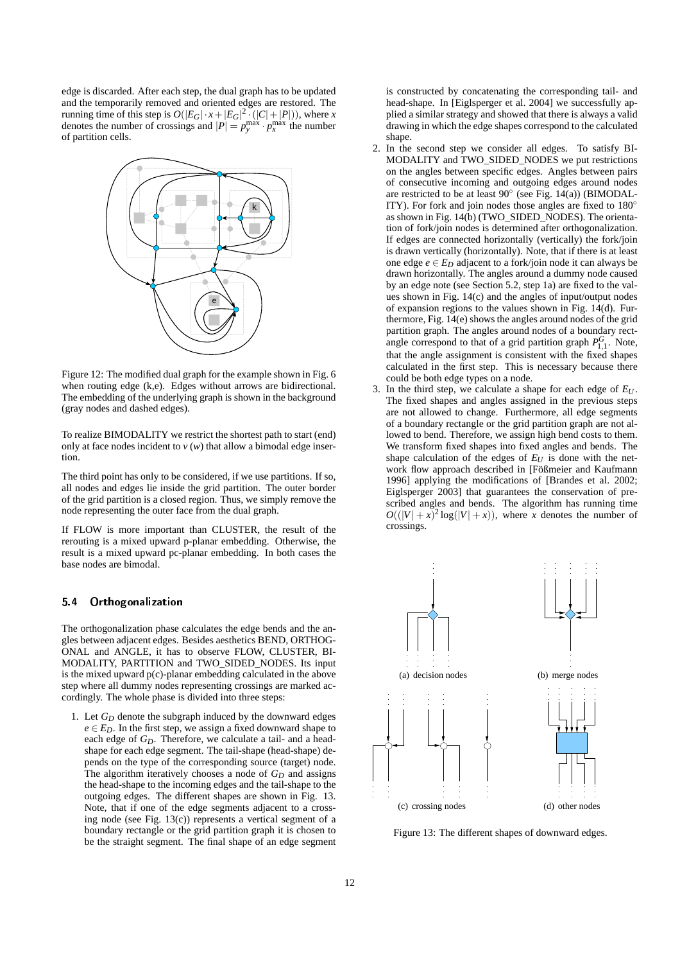edge is discarded. After each step, the dual graph has to be updated and the temporarily removed and oriented edges are restored. The running time of this step is  $O(|E_G| \cdot x + |E_G|^2 \cdot (|C| + |P|))$ , where *x* denotes the number of crossings and  $|P| = p_y^{\text{max}} \cdot p_x^{\text{max}}$  the number of partition cells.



Figure 12: The modified dual graph for the example shown in Fig. 6 when routing edge (k,e). Edges without arrows are bidirectional. The embedding of the underlying graph is shown in the background (gray nodes and dashed edges).

To realize BIMODALITY we restrict the shortest path to start (end) only at face nodes incident to  $v(w)$  that allow a bimodal edge insertion.

The third point has only to be considered, if we use partitions. If so, all nodes and edges lie inside the grid partition. The outer border of the grid partition is a closed region. Thus, we simply remove the node representing the outer face from the dual graph.

If FLOW is more important than CLUSTER, the result of the rerouting is a mixed upward p-planar embedding. Otherwise, the result is a mixed upward pc-planar embedding. In both cases the base nodes are bimodal.

#### 5.4 Orthogonalization

The orthogonalization phase calculates the edge bends and the angles between adjacent edges. Besides aesthetics BEND, ORTHOG-ONAL and ANGLE, it has to observe FLOW, CLUSTER, BI-MODALITY, PARTITION and TWO\_SIDED\_NODES. Its input is the mixed upward p(c)-planar embedding calculated in the above step where all dummy nodes representing crossings are marked accordingly. The whole phase is divided into three steps:

1. Let *G<sup>D</sup>* denote the subgraph induced by the downward edges  $e \in E_D$ . In the first step, we assign a fixed downward shape to each edge of *GD*. Therefore, we calculate a tail- and a headshape for each edge segment. The tail-shape (head-shape) depends on the type of the corresponding source (target) node. The algorithm iteratively chooses a node of  $G_D$  and assigns the head-shape to the incoming edges and the tail-shape to the outgoing edges. The different shapes are shown in Fig. 13. Note, that if one of the edge segments adjacent to a crossing node (see Fig. 13(c)) represents a vertical segment of a boundary rectangle or the grid partition graph it is chosen to be the straight segment. The final shape of an edge segment is constructed by concatenating the corresponding tail- and head-shape. In [Eiglsperger et al. 2004] we successfully applied a similar strategy and showed that there is always a valid drawing in which the edge shapes correspond to the calculated shape.

- 2. In the second step we consider all edges. To satisfy BI-MODALITY and TWO\_SIDED\_NODES we put restrictions on the angles between specific edges. Angles between pairs of consecutive incoming and outgoing edges around nodes are restricted to be at least  $90^\circ$  (see Fig. 14(a)) (BIMODAL-ITY). For fork and join nodes those angles are fixed to 180◦ as shown in Fig. 14(b) (TWO\_SIDED\_NODES). The orientation of fork/join nodes is determined after orthogonalization. If edges are connected horizontally (vertically) the fork/join is drawn vertically (horizontally). Note, that if there is at least one edge  $e \in E_D$  adjacent to a fork/join node it can always be drawn horizontally. The angles around a dummy node caused by an edge note (see Section 5.2, step 1a) are fixed to the values shown in Fig. 14(c) and the angles of input/output nodes of expansion regions to the values shown in Fig.  $14(d)$ . Furthermore, Fig. 14(e) shows the angles around nodes of the grid partition graph. The angles around nodes of a boundary rectangle correspond to that of a grid partition graph  $P_{1,1}^G$ . Note, that the angle assignment is consistent with the fixed shapes calculated in the first step. This is necessary because there could be both edge types on a node.
- 3. In the third step, we calculate a shape for each edge of *E<sup>U</sup>* . The fixed shapes and angles assigned in the previous steps are not allowed to change. Furthermore, all edge segments of a boundary rectangle or the grid partition graph are not allowed to bend. Therefore, we assign high bend costs to them. We transform fixed shapes into fixed angles and bends. The shape calculation of the edges of  $E_U$  is done with the network flow approach described in [Fößmeier and Kaufmann 1996] applying the modifications of [Brandes et al. 2002; Eiglsperger 2003] that guarantees the conservation of prescribed angles and bends. The algorithm has running time  $O((|V| + x)^2 \log(|V| + x))$ , where *x* denotes the number of crossings.



Figure 13: The different shapes of downward edges.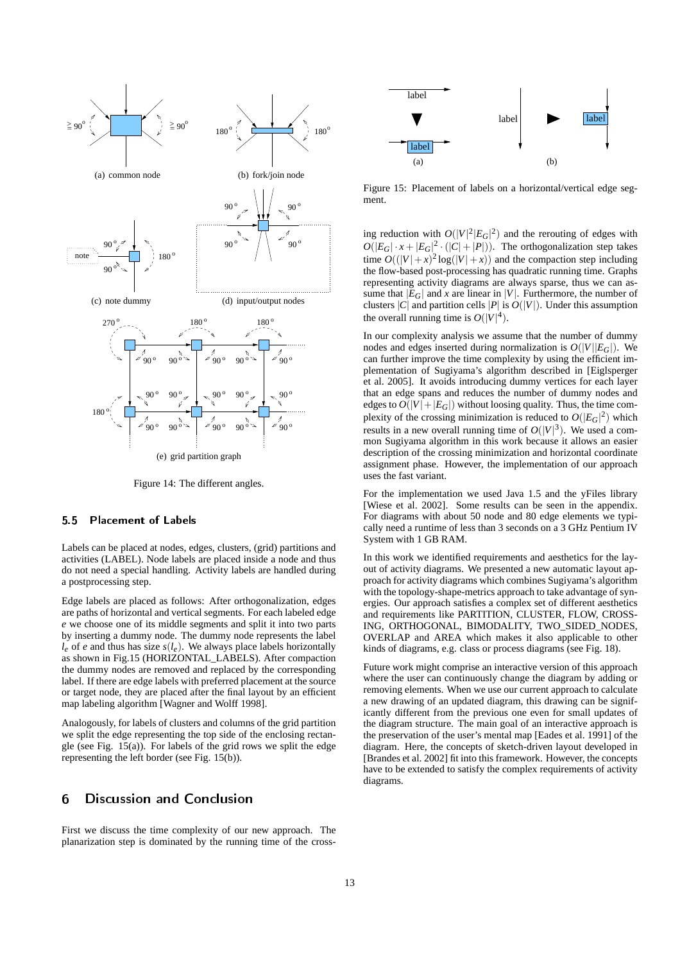

Figure 14: The different angles.

## 5.5 Placement of Labels

Labels can be placed at nodes, edges, clusters, (grid) partitions and activities (LABEL). Node labels are placed inside a node and thus do not need a special handling. Activity labels are handled during a postprocessing step.

Edge labels are placed as follows: After orthogonalization, edges are paths of horizontal and vertical segments. For each labeled edge *e* we choose one of its middle segments and split it into two parts by inserting a dummy node. The dummy node represents the label  $l_e$  of *e* and thus has size  $s(l_e)$ . We always place labels horizontally as shown in Fig.15 (HORIZONTAL\_LABELS). After compaction the dummy nodes are removed and replaced by the corresponding label. If there are edge labels with preferred placement at the source or target node, they are placed after the final layout by an efficient map labeling algorithm [Wagner and Wolff 1998].

Analogously, for labels of clusters and columns of the grid partition we split the edge representing the top side of the enclosing rectangle (see Fig. 15(a)). For labels of the grid rows we split the edge representing the left border (see Fig. 15(b)).

## 6 Discussion and Conclusion

First we discuss the time complexity of our new approach. The planarization step is dominated by the running time of the cross-



Figure 15: Placement of labels on a horizontal/vertical edge segment.

ing reduction with  $O(|V|^2 |E_G|^2)$  and the rerouting of edges with  $O(|E_G| \cdot x + |E_G|^2 \cdot (|C| + |P|))$ . The orthogonalization step takes time  $O((|V|+x)^2 \log(|V|+x))$  and the compaction step including the flow-based post-processing has quadratic running time. Graphs representing activity diagrams are always sparse, thus we can assume that  $|E_G|$  and *x* are linear in |*V*|. Furthermore, the number of clusters  $|C|$  and partition cells  $|P|$  is  $O(|V|)$ . Under this assumption the overall running time is  $O(|V|^4)$ .

In our complexity analysis we assume that the number of dummy nodes and edges inserted during normalization is  $O(|V||E_G|)$ . We can further improve the time complexity by using the efficient implementation of Sugiyama's algorithm described in [Eiglsperger et al. 2005]. It avoids introducing dummy vertices for each layer that an edge spans and reduces the number of dummy nodes and edges to  $O(|V| + |E_G|)$  without loosing quality. Thus, the time complexity of the crossing minimization is reduced to  $O(|E_G|^2)$  which results in a new overall running time of  $O(|V|^3)$ . We used a common Sugiyama algorithm in this work because it allows an easier description of the crossing minimization and horizontal coordinate assignment phase. However, the implementation of our approach uses the fast variant.

For the implementation we used Java 1.5 and the yFiles library [Wiese et al. 2002]. Some results can be seen in the appendix. For diagrams with about 50 node and 80 edge elements we typically need a runtime of less than 3 seconds on a 3 GHz Pentium IV System with 1 GB RAM.

In this work we identified requirements and aesthetics for the layout of activity diagrams. We presented a new automatic layout approach for activity diagrams which combines Sugiyama's algorithm with the topology-shape-metrics approach to take advantage of synergies. Our approach satisfies a complex set of different aesthetics and requirements like PARTITION, CLUSTER, FLOW, CROSS-ING, ORTHOGONAL, BIMODALITY, TWO\_SIDED\_NODES, OVERLAP and AREA which makes it also applicable to other kinds of diagrams, e.g. class or process diagrams (see Fig. 18).

Future work might comprise an interactive version of this approach where the user can continuously change the diagram by adding or removing elements. When we use our current approach to calculate a new drawing of an updated diagram, this drawing can be significantly different from the previous one even for small updates of the diagram structure. The main goal of an interactive approach is the preservation of the user's mental map [Eades et al. 1991] of the diagram. Here, the concepts of sketch-driven layout developed in [Brandes et al. 2002] fit into this framework. However, the concepts have to be extended to satisfy the complex requirements of activity diagrams.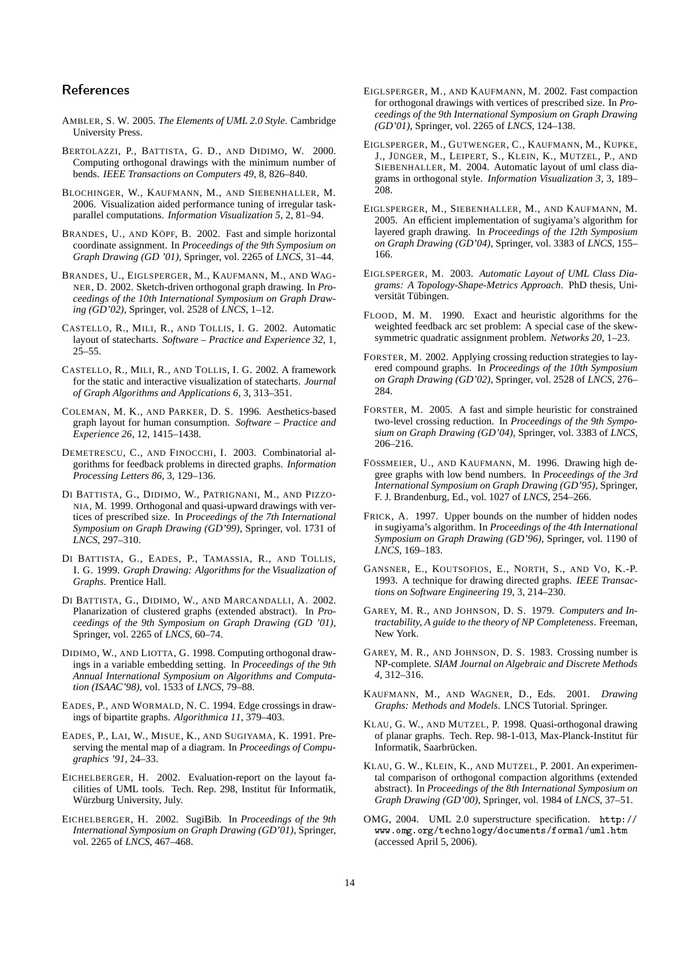## References

- AMBLER, S. W. 2005. *The Elements of UML 2.0 Style*. Cambridge University Press.
- BERTOLAZZI, P., BATTISTA, G. D., AND DIDIMO, W. 2000. Computing orthogonal drawings with the minimum number of bends. *IEEE Transactions on Computers 49*, 8, 826–840.
- BLOCHINGER, W., KAUFMANN, M., AND SIEBENHALLER, M. 2006. Visualization aided performance tuning of irregular taskparallel computations. *Information Visualization 5*, 2, 81–94.
- BRANDES, U., AND KÖPF, B. 2002. Fast and simple horizontal coordinate assignment. In *Proceedings of the 9th Symposium on Graph Drawing (GD '01)*, Springer, vol. 2265 of *LNCS*, 31–44.
- BRANDES, U., EIGLSPERGER, M., KAUFMANN, M., AND WAG-NER, D. 2002. Sketch-driven orthogonal graph drawing. In *Proceedings of the 10th International Symposium on Graph Drawing (GD'02)*, Springer, vol. 2528 of *LNCS*, 1–12.
- CASTELLO, R., MILI, R., AND TOLLIS, I. G. 2002. Automatic layout of statecharts. *Software – Practice and Experience 32*, 1, 25–55.
- CASTELLO, R., MILI, R., AND TOLLIS, I. G. 2002. A framework for the static and interactive visualization of statecharts. *Journal of Graph Algorithms and Applications 6*, 3, 313–351.
- COLEMAN, M. K., AND PARKER, D. S. 1996. Aesthetics-based graph layout for human consumption. *Software – Practice and Experience 26*, 12, 1415–1438.
- DEMETRESCU, C., AND FINOCCHI, I. 2003. Combinatorial algorithms for feedback problems in directed graphs. *Information Processing Letters 86*, 3, 129–136.
- DI BATTISTA, G., DIDIMO, W., PATRIGNANI, M., AND PIZZO-NIA, M. 1999. Orthogonal and quasi-upward drawings with vertices of prescribed size. In *Proceedings of the 7th International Symposium on Graph Drawing (GD'99)*, Springer, vol. 1731 of *LNCS*, 297–310.
- DI BATTISTA, G., EADES, P., TAMASSIA, R., AND TOLLIS, I. G. 1999. *Graph Drawing: Algorithms for the Visualization of Graphs*. Prentice Hall.
- DI BATTISTA, G., DIDIMO, W., AND MARCANDALLI, A. 2002. Planarization of clustered graphs (extended abstract). In *Proceedings of the 9th Symposium on Graph Drawing (GD '01)*, Springer, vol. 2265 of *LNCS*, 60–74.
- DIDIMO, W., AND LIOTTA, G. 1998. Computing orthogonal drawings in a variable embedding setting. In *Proceedings of the 9th Annual International Symposium on Algorithms and Computation (ISAAC'98)*, vol. 1533 of *LNCS*, 79–88.
- EADES, P., AND WORMALD, N. C. 1994. Edge crossings in drawings of bipartite graphs. *Algorithmica 11*, 379–403.
- EADES, P., LAI, W., MISUE, K., AND SUGIYAMA, K. 1991. Preserving the mental map of a diagram. In *Proceedings of Compugraphics '91*, 24–33.
- EICHELBERGER, H. 2002. Evaluation-report on the layout facilities of UML tools. Tech. Rep. 298, Institut für Informatik, Würzburg University, July.
- EICHELBERGER, H. 2002. SugiBib. In *Proceedings of the 9th International Symposium on Graph Drawing (GD'01)*, Springer, vol. 2265 of *LNCS*, 467–468.
- EIGLSPERGER, M., AND KAUFMANN, M. 2002. Fast compaction for orthogonal drawings with vertices of prescribed size. In *Proceedings of the 9th International Symposium on Graph Drawing (GD'01)*, Springer, vol. 2265 of *LNCS*, 124–138.
- EIGLSPERGER, M., GUTWENGER, C., KAUFMANN, M., KUPKE, J., JÜNGER, M., LEIPERT, S., KLEIN, K., MUTZEL, P., AND SIEBENHALLER, M. 2004. Automatic layout of uml class diagrams in orthogonal style. *Information Visualization 3*, 3, 189– 208.
- EIGLSPERGER, M., SIEBENHALLER, M., AND KAUFMANN, M. 2005. An efficient implementation of sugiyama's algorithm for layered graph drawing. In *Proceedings of the 12th Symposium on Graph Drawing (GD'04)*, Springer, vol. 3383 of *LNCS*, 155– 166.
- EIGLSPERGER, M. 2003. *Automatic Layout of UML Class Diagrams: A Topology-Shape-Metrics Approach*. PhD thesis, Universität Tübingen.
- FLOOD, M. M. 1990. Exact and heuristic algorithms for the weighted feedback arc set problem: A special case of the skewsymmetric quadratic assignment problem. *Networks 20*, 1–23.
- FORSTER, M. 2002. Applying crossing reduction strategies to layered compound graphs. In *Proceedings of the 10th Symposium on Graph Drawing (GD'02)*, Springer, vol. 2528 of *LNCS*, 276– 284.
- FORSTER, M. 2005. A fast and simple heuristic for constrained two-level crossing reduction. In *Proceedings of the 9th Symposium on Graph Drawing (GD'04)*, Springer, vol. 3383 of *LNCS*, 206–216.
- FÖSSMEIER, U., AND KAUFMANN, M. 1996. Drawing high degree graphs with low bend numbers. In *Proceedings of the 3rd International Symposium on Graph Drawing (GD'95)*, Springer, F. J. Brandenburg, Ed., vol. 1027 of *LNCS*, 254–266.
- FRICK, A. 1997. Upper bounds on the number of hidden nodes in sugiyama's algorithm. In *Proceedings of the 4th International Symposium on Graph Drawing (GD'96)*, Springer, vol. 1190 of *LNCS*, 169–183.
- GANSNER, E., KOUTSOFIOS, E., NORTH, S., AND VO, K.-P. 1993. A technique for drawing directed graphs. *IEEE Transactions on Software Engineering 19*, 3, 214–230.
- GAREY, M. R., AND JOHNSON, D. S. 1979. *Computers and Intractability, A guide to the theory of NP Completeness*. Freeman, New York.
- GAREY, M. R., AND JOHNSON, D. S. 1983. Crossing number is NP-complete. *SIAM Journal on Algebraic and Discrete Methods 4*, 312–316.
- KAUFMANN, M., AND WAGNER, D., Eds. 2001. *Drawing Graphs: Methods and Models*. LNCS Tutorial. Springer.
- KLAU, G. W., AND MUTZEL, P. 1998. Quasi-orthogonal drawing of planar graphs. Tech. Rep. 98-1-013, Max-Planck-Institut für Informatik, Saarbrücken.
- KLAU, G. W., KLEIN, K., AND MUTZEL, P. 2001. An experimental comparison of orthogonal compaction algorithms (extended abstract). In *Proceedings of the 8th International Symposium on Graph Drawing (GD'00)*, Springer, vol. 1984 of *LNCS*, 37–51.
- OMG, 2004. UML 2.0 superstructure specification. http:// www.omg.org/technology/documents/formal/uml.htm (accessed April 5, 2006).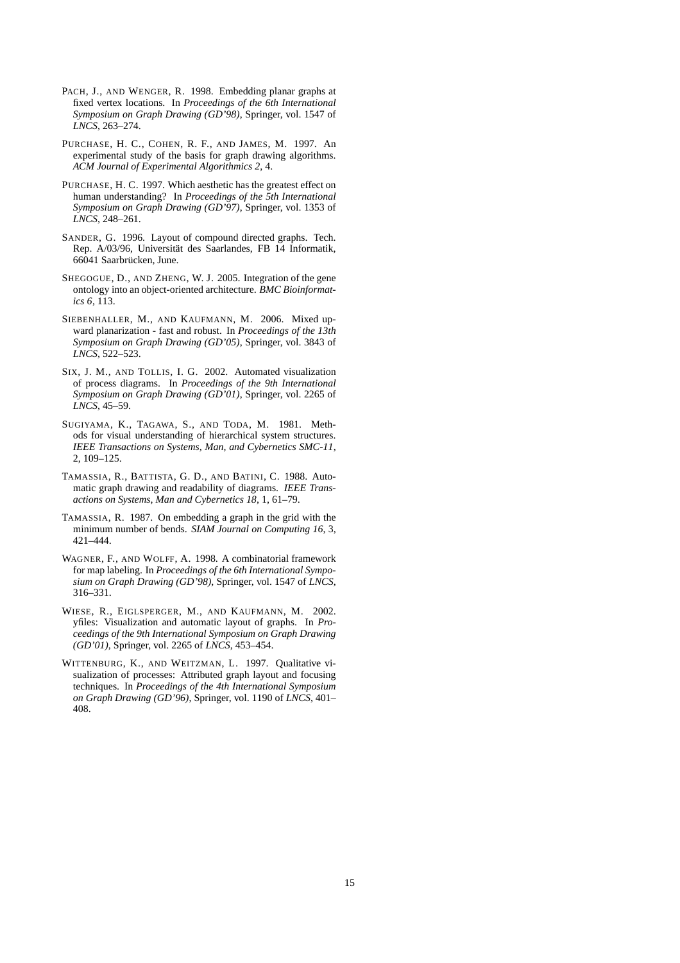- PACH, J., AND WENGER, R. 1998. Embedding planar graphs at fixed vertex locations. In *Proceedings of the 6th International Symposium on Graph Drawing (GD'98)*, Springer, vol. 1547 of *LNCS*, 263–274.
- PURCHASE, H. C., COHEN, R. F., AND JAMES, M. 1997. An experimental study of the basis for graph drawing algorithms. *ACM Journal of Experimental Algorithmics 2*, 4.
- PURCHASE, H. C. 1997. Which aesthetic has the greatest effect on human understanding? In *Proceedings of the 5th International Symposium on Graph Drawing (GD'97)*, Springer, vol. 1353 of *LNCS*, 248–261.
- SANDER, G. 1996. Layout of compound directed graphs. Tech. Rep. A/03/96, Universität des Saarlandes, FB 14 Informatik, 66041 Saarbrücken, June.
- SHEGOGUE, D., AND ZHENG, W. J. 2005. Integration of the gene ontology into an object-oriented architecture. *BMC Bioinformatics 6*, 113.
- SIEBENHALLER, M., AND KAUFMANN, M. 2006. Mixed upward planarization - fast and robust. In *Proceedings of the 13th Symposium on Graph Drawing (GD'05)*, Springer, vol. 3843 of *LNCS*, 522–523.
- SIX, J. M., AND TOLLIS, I. G. 2002. Automated visualization of process diagrams. In *Proceedings of the 9th International Symposium on Graph Drawing (GD'01)*, Springer, vol. 2265 of *LNCS*, 45–59.
- SUGIYAMA, K., TAGAWA, S., AND TODA, M. 1981. Methods for visual understanding of hierarchical system structures. *IEEE Transactions on Systems, Man, and Cybernetics SMC-11*, 2, 109–125.
- TAMASSIA, R., BATTISTA, G. D., AND BATINI, C. 1988. Automatic graph drawing and readability of diagrams. *IEEE Transactions on Systems, Man and Cybernetics 18*, 1, 61–79.
- TAMASSIA, R. 1987. On embedding a graph in the grid with the minimum number of bends. *SIAM Journal on Computing 16*, 3, 421–444.
- WAGNER, F., AND WOLFF, A. 1998. A combinatorial framework for map labeling. In *Proceedings of the 6th International Symposium on Graph Drawing (GD'98)*, Springer, vol. 1547 of *LNCS*, 316–331.
- WIESE, R., EIGLSPERGER, M., AND KAUFMANN, M. 2002. yfiles: Visualization and automatic layout of graphs. In *Proceedings of the 9th International Symposium on Graph Drawing (GD'01)*, Springer, vol. 2265 of *LNCS*, 453–454.
- WITTENBURG, K., AND WEITZMAN, L. 1997. Qualitative visualization of processes: Attributed graph layout and focusing techniques. In *Proceedings of the 4th International Symposium on Graph Drawing (GD'96)*, Springer, vol. 1190 of *LNCS*, 401– 408.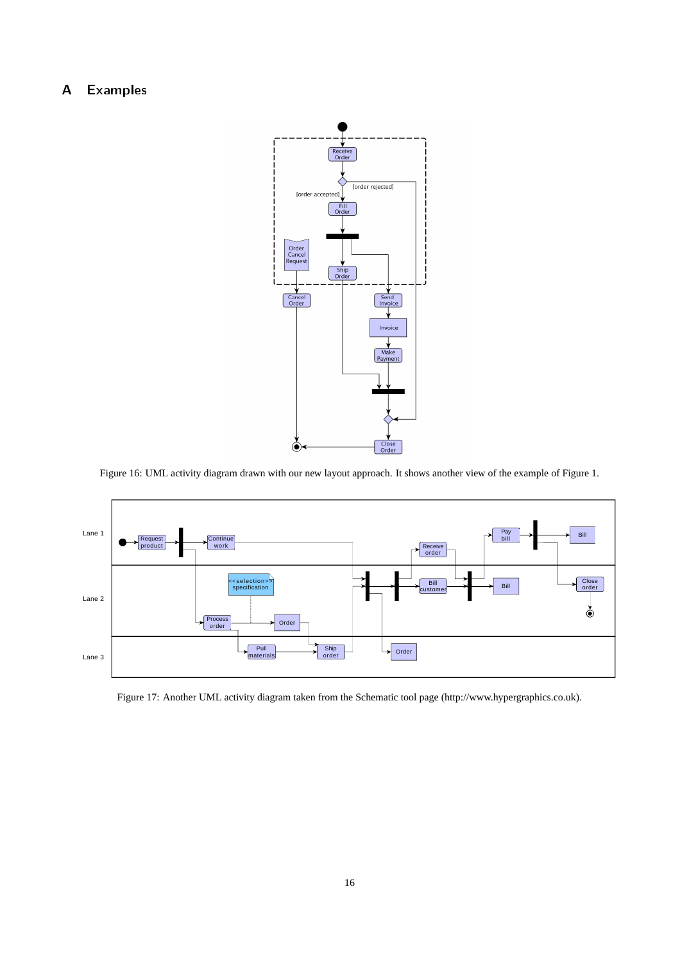# A Examples



Figure 16: UML activity diagram drawn with our new layout approach. It shows another view of the example of Figure 1.



Figure 17: Another UML activity diagram taken from the Schematic tool page (http://www.hypergraphics.co.uk).